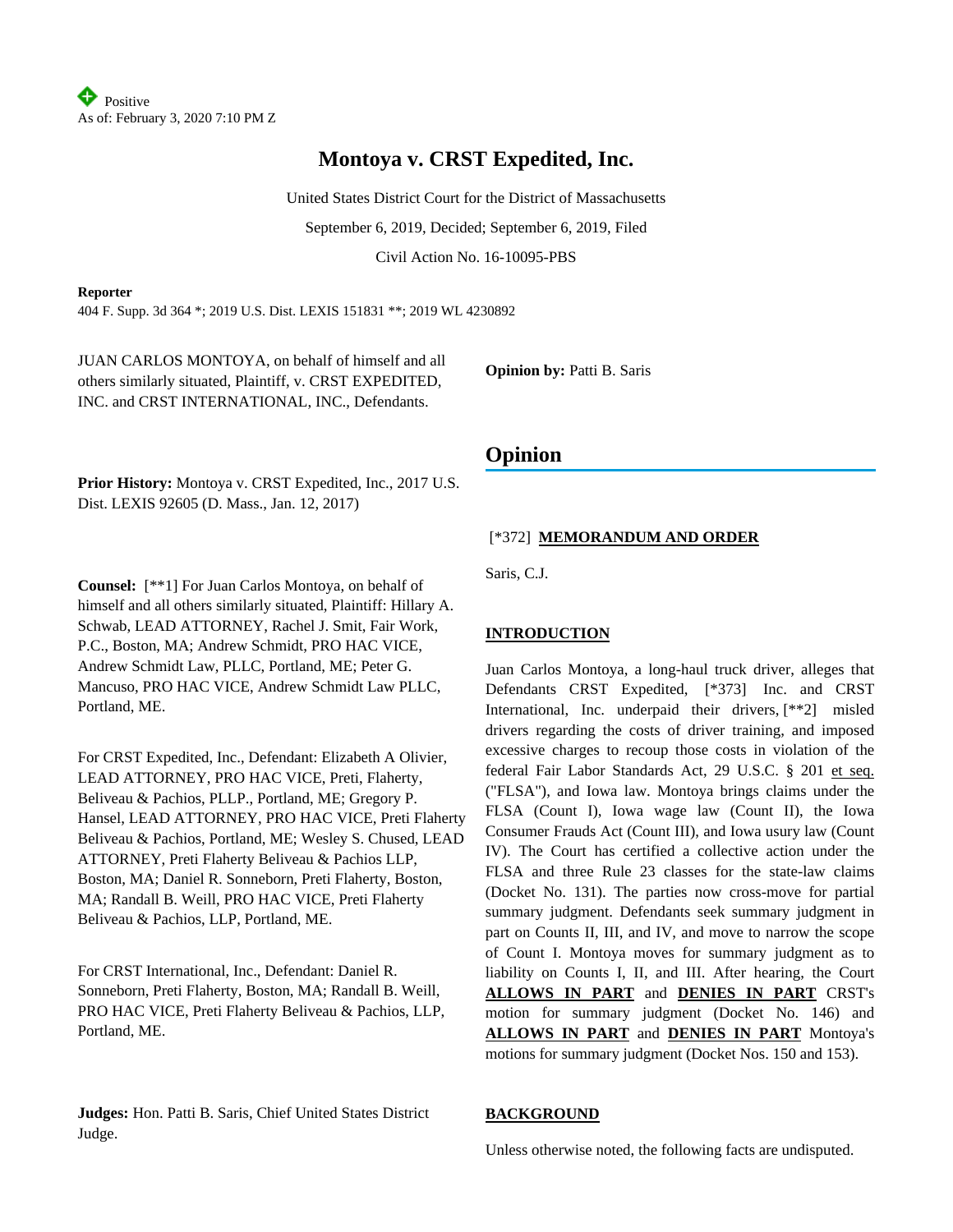# **Montoya v. CRST Expedited, Inc.**

United States District Court for the District of Massachusetts

September 6, 2019, Decided; September 6, 2019, Filed

Civil Action No. 16-10095-PBS

## **Reporter**

404 F. Supp. 3d 364 \*; 2019 U.S. Dist. LEXIS 151831 \*\*; 2019 WL 4230892

JUAN CARLOS MONTOYA, on behalf of himself and all others similarly situated, Plaintiff, v. CRST EXPEDITED, INC. and CRST INTERNATIONAL, INC., Defendants.

**Opinion by:** Patti B. Saris

**Prior History:** Montoya v. CRST Expedited, Inc., 2017 U.S. Dist. LEXIS 92605 (D. Mass., Jan. 12, 2017)

**Counsel:** [\*\*1] For Juan Carlos Montoya, on behalf of himself and all others similarly situated, Plaintiff: Hillary A. Schwab, LEAD ATTORNEY, Rachel J. Smit, Fair Work, P.C., Boston, MA; Andrew Schmidt, PRO HAC VICE, Andrew Schmidt Law, PLLC, Portland, ME; Peter G. Mancuso, PRO HAC VICE, Andrew Schmidt Law PLLC, Portland, ME.

For CRST Expedited, Inc., Defendant: Elizabeth A Olivier, LEAD ATTORNEY, PRO HAC VICE, Preti, Flaherty, Beliveau & Pachios, PLLP., Portland, ME; Gregory P. Hansel, LEAD ATTORNEY, PRO HAC VICE, Preti Flaherty Beliveau & Pachios, Portland, ME; Wesley S. Chused, LEAD ATTORNEY, Preti Flaherty Beliveau & Pachios LLP, Boston, MA; Daniel R. Sonneborn, Preti Flaherty, Boston, MA; Randall B. Weill, PRO HAC VICE, Preti Flaherty Beliveau & Pachios, LLP, Portland, ME.

For CRST International, Inc., Defendant: Daniel R. Sonneborn, Preti Flaherty, Boston, MA; Randall B. Weill, PRO HAC VICE, Preti Flaherty Beliveau & Pachios, LLP, Portland, ME.

**Judges:** Hon. Patti B. Saris, Chief United States District Judge.

# **Opinion**

# [\*372] **MEMORANDUM AND ORDER**

Saris, C.J.

# **INTRODUCTION**

Juan Carlos Montoya, a long-haul truck driver, alleges that Defendants CRST Expedited, [\*373] Inc. and CRST International, Inc. underpaid their drivers, [\*\*2] misled drivers regarding the costs of driver training, and imposed excessive charges to recoup those costs in violation of the federal Fair Labor Standards Act, 29 U.S.C. § 201 et seq. ("FLSA"), and Iowa law. Montoya brings claims under the FLSA (Count I), Iowa wage law (Count II), the Iowa Consumer Frauds Act (Count III), and Iowa usury law (Count IV). The Court has certified a collective action under the FLSA and three Rule 23 classes for the state-law claims (Docket No. 131). The parties now cross-move for partial summary judgment. Defendants seek summary judgment in part on Counts II, III, and IV, and move to narrow the scope of Count I. Montoya moves for summary judgment as to liability on Counts I, II, and III. After hearing, the Court **ALLOWS IN PART** and **DENIES IN PART** CRST's motion for summary judgment (Docket No. 146) and **ALLOWS IN PART** and **DENIES IN PART** Montoya's motions for summary judgment (Docket Nos. 150 and 153).

## **BACKGROUND**

Unless otherwise noted, the following facts are undisputed.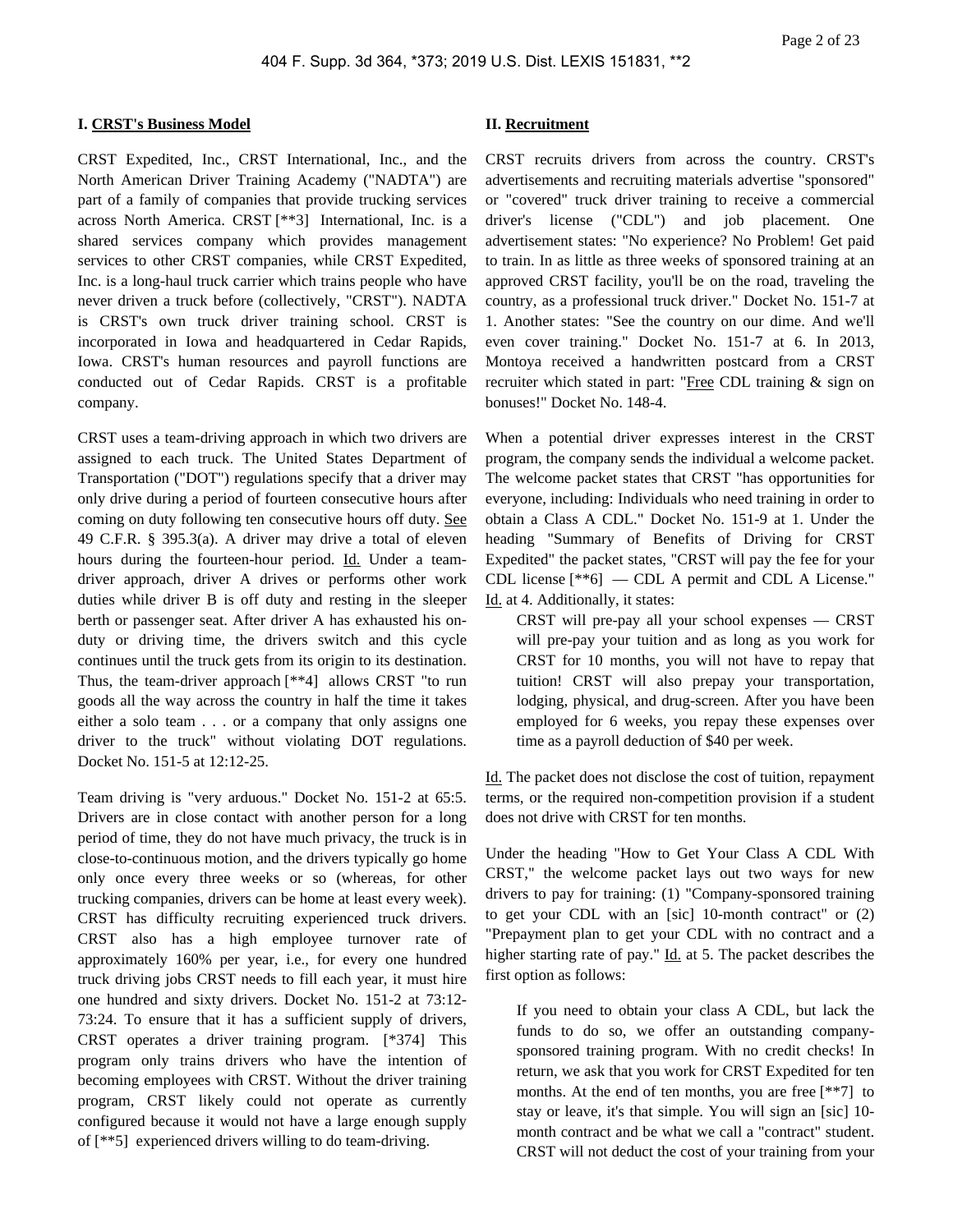#### **I. CRST's Business Model**

CRST Expedited, Inc., CRST International, Inc., and the North American Driver Training Academy ("NADTA") are part of a family of companies that provide trucking services across North America. CRST [\*\*3] International, Inc. is a shared services company which provides management services to other CRST companies, while CRST Expedited, Inc. is a long-haul truck carrier which trains people who have never driven a truck before (collectively, "CRST"). NADTA is CRST's own truck driver training school. CRST is incorporated in Iowa and headquartered in Cedar Rapids, Iowa. CRST's human resources and payroll functions are conducted out of Cedar Rapids. CRST is a profitable company.

CRST uses a team-driving approach in which two drivers are assigned to each truck. The United States Department of Transportation ("DOT") regulations specify that a driver may only drive during a period of fourteen consecutive hours after coming on duty following ten consecutive hours off duty. See 49 C.F.R. § 395.3(a). A driver may drive a total of eleven hours during the fourteen-hour period. Id. Under a teamdriver approach, driver A drives or performs other work duties while driver B is off duty and resting in the sleeper berth or passenger seat. After driver A has exhausted his onduty or driving time, the drivers switch and this cycle continues until the truck gets from its origin to its destination. Thus, the team-driver approach [\*\*4] allows CRST "to run goods all the way across the country in half the time it takes either a solo team . . . or a company that only assigns one driver to the truck" without violating DOT regulations. Docket No. 151-5 at 12:12-25.

Team driving is "very arduous." Docket No. 151-2 at 65:5. Drivers are in close contact with another person for a long period of time, they do not have much privacy, the truck is in close-to-continuous motion, and the drivers typically go home only once every three weeks or so (whereas, for other trucking companies, drivers can be home at least every week). CRST has difficulty recruiting experienced truck drivers. CRST also has a high employee turnover rate of approximately 160% per year, i.e., for every one hundred truck driving jobs CRST needs to fill each year, it must hire one hundred and sixty drivers. Docket No. 151-2 at 73:12- 73:24. To ensure that it has a sufficient supply of drivers, CRST operates a driver training program. [\*374] This program only trains drivers who have the intention of becoming employees with CRST. Without the driver training program, CRST likely could not operate as currently configured because it would not have a large enough supply of [\*\*5] experienced drivers willing to do team-driving.

## **II. Recruitment**

CRST recruits drivers from across the country. CRST's advertisements and recruiting materials advertise "sponsored" or "covered" truck driver training to receive a commercial driver's license ("CDL") and job placement. One advertisement states: "No experience? No Problem! Get paid to train. In as little as three weeks of sponsored training at an approved CRST facility, you'll be on the road, traveling the country, as a professional truck driver." Docket No. 151-7 at 1. Another states: "See the country on our dime. And we'll even cover training." Docket No. 151-7 at 6. In 2013, Montoya received a handwritten postcard from a CRST recruiter which stated in part: "Free CDL training & sign on bonuses!" Docket No. 148-4.

When a potential driver expresses interest in the CRST program, the company sends the individual a welcome packet. The welcome packet states that CRST "has opportunities for everyone, including: Individuals who need training in order to obtain a Class A CDL." Docket No. 151-9 at 1. Under the heading "Summary of Benefits of Driving for CRST Expedited" the packet states, "CRST will pay the fee for your CDL license [\*\*6] — CDL A permit and CDL A License." Id. at 4. Additionally, it states:

CRST will pre-pay all your school expenses — CRST will pre-pay your tuition and as long as you work for CRST for 10 months, you will not have to repay that tuition! CRST will also prepay your transportation, lodging, physical, and drug-screen. After you have been employed for 6 weeks, you repay these expenses over time as a payroll deduction of \$40 per week.

Id. The packet does not disclose the cost of tuition, repayment terms, or the required non-competition provision if a student does not drive with CRST for ten months.

Under the heading "How to Get Your Class A CDL With CRST," the welcome packet lays out two ways for new drivers to pay for training: (1) "Company-sponsored training to get your CDL with an [sic] 10-month contract" or (2) "Prepayment plan to get your CDL with no contract and a higher starting rate of pay." Id. at 5. The packet describes the first option as follows:

If you need to obtain your class A CDL, but lack the funds to do so, we offer an outstanding companysponsored training program. With no credit checks! In return, we ask that you work for CRST Expedited for ten months. At the end of ten months, you are free [\*\*7] to stay or leave, it's that simple. You will sign an [sic] 10 month contract and be what we call a "contract" student. CRST will not deduct the cost of your training from your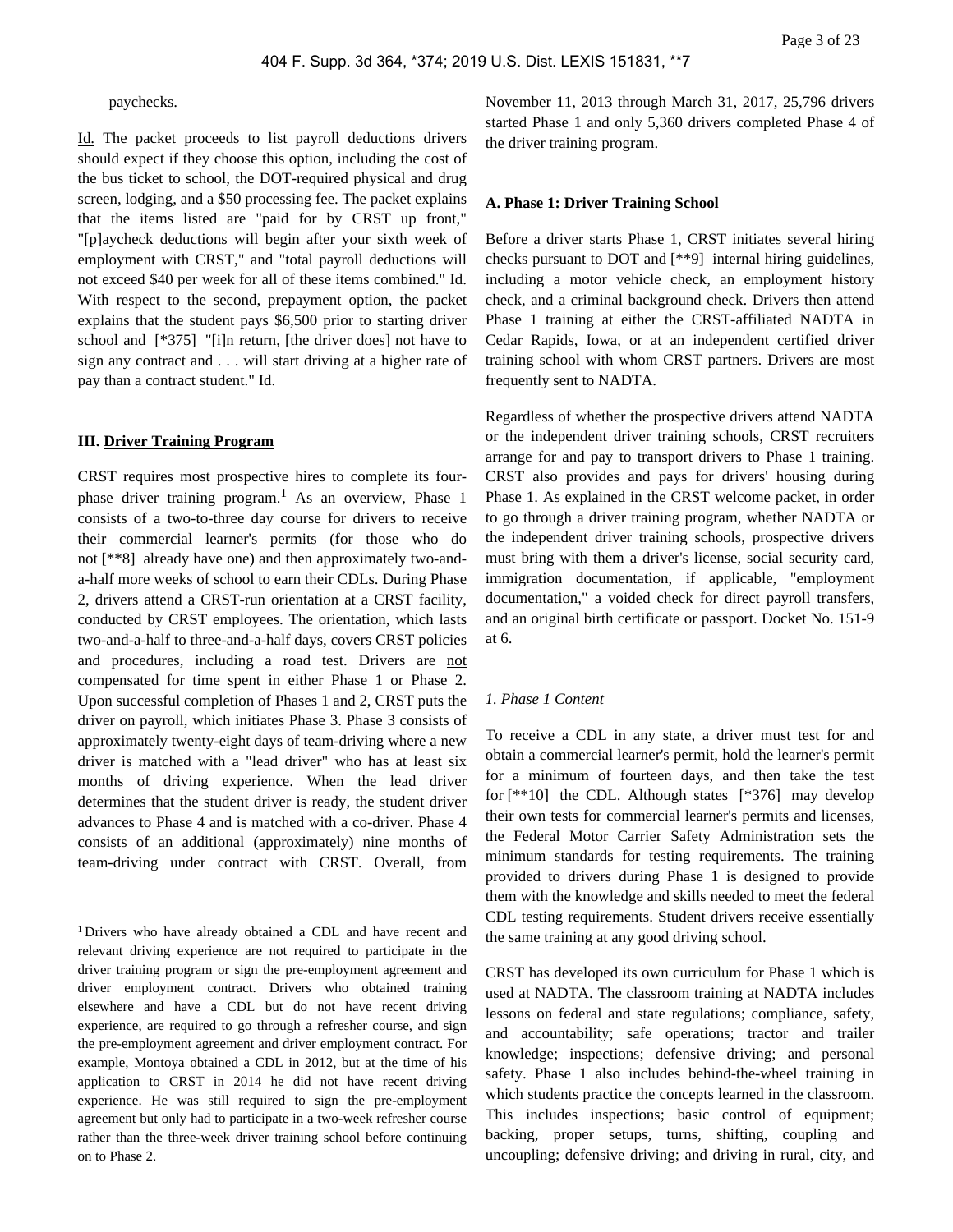paychecks.

Id. The packet proceeds to list payroll deductions drivers should expect if they choose this option, including the cost of the bus ticket to school, the DOT-required physical and drug screen, lodging, and a \$50 processing fee. The packet explains that the items listed are "paid for by CRST up front," "[p]aycheck deductions will begin after your sixth week of employment with CRST," and "total payroll deductions will not exceed \$40 per week for all of these items combined." Id. With respect to the second, prepayment option, the packet explains that the student pays \$6,500 prior to starting driver school and [\*375] "[i]n return, [the driver does] not have to sign any contract and . . . will start driving at a higher rate of pay than a contract student." Id.

#### **III. Driver Training Program**

CRST requires most prospective hires to complete its fourphase driver training program.<sup>1</sup> As an overview, Phase 1 consists of a two-to-three day course for drivers to receive their commercial learner's permits (for those who do not [\*\*8] already have one) and then approximately two-anda-half more weeks of school to earn their CDLs. During Phase 2, drivers attend a CRST-run orientation at a CRST facility, conducted by CRST employees. The orientation, which lasts two-and-a-half to three-and-a-half days, covers CRST policies and procedures, including a road test. Drivers are not compensated for time spent in either Phase 1 or Phase 2. Upon successful completion of Phases 1 and 2, CRST puts the driver on payroll, which initiates Phase 3. Phase 3 consists of approximately twenty-eight days of team-driving where a new driver is matched with a "lead driver" who has at least six months of driving experience. When the lead driver determines that the student driver is ready, the student driver advances to Phase 4 and is matched with a co-driver. Phase 4 consists of an additional (approximately) nine months of team-driving under contract with CRST. Overall, from

November 11, 2013 through March 31, 2017, 25,796 drivers started Phase 1 and only 5,360 drivers completed Phase 4 of the driver training program.

#### **A. Phase 1: Driver Training School**

Before a driver starts Phase 1, CRST initiates several hiring checks pursuant to DOT and [\*\*9] internal hiring guidelines, including a motor vehicle check, an employment history check, and a criminal background check. Drivers then attend Phase 1 training at either the CRST-affiliated NADTA in Cedar Rapids, Iowa, or at an independent certified driver training school with whom CRST partners. Drivers are most frequently sent to NADTA.

Regardless of whether the prospective drivers attend NADTA or the independent driver training schools, CRST recruiters arrange for and pay to transport drivers to Phase 1 training. CRST also provides and pays for drivers' housing during Phase 1. As explained in the CRST welcome packet, in order to go through a driver training program, whether NADTA or the independent driver training schools, prospective drivers must bring with them a driver's license, social security card, immigration documentation, if applicable, "employment documentation," a voided check for direct payroll transfers, and an original birth certificate or passport. Docket No. 151-9 at 6.

#### *1. Phase 1 Content*

To receive a CDL in any state, a driver must test for and obtain a commercial learner's permit, hold the learner's permit for a minimum of fourteen days, and then take the test for [\*\*10] the CDL. Although states [\*376] may develop their own tests for commercial learner's permits and licenses, the Federal Motor Carrier Safety Administration sets the minimum standards for testing requirements. The training provided to drivers during Phase 1 is designed to provide them with the knowledge and skills needed to meet the federal CDL testing requirements. Student drivers receive essentially the same training at any good driving school.

CRST has developed its own curriculum for Phase 1 which is used at NADTA. The classroom training at NADTA includes lessons on federal and state regulations; compliance, safety, and accountability; safe operations; tractor and trailer knowledge; inspections; defensive driving; and personal safety. Phase 1 also includes behind-the-wheel training in which students practice the concepts learned in the classroom. This includes inspections; basic control of equipment; backing, proper setups, turns, shifting, coupling and uncoupling; defensive driving; and driving in rural, city, and

<sup>1</sup>Drivers who have already obtained a CDL and have recent and relevant driving experience are not required to participate in the driver training program or sign the pre-employment agreement and driver employment contract. Drivers who obtained training elsewhere and have a CDL but do not have recent driving experience, are required to go through a refresher course, and sign the pre-employment agreement and driver employment contract. For example, Montoya obtained a CDL in 2012, but at the time of his application to CRST in 2014 he did not have recent driving experience. He was still required to sign the pre-employment agreement but only had to participate in a two-week refresher course rather than the three-week driver training school before continuing on to Phase 2.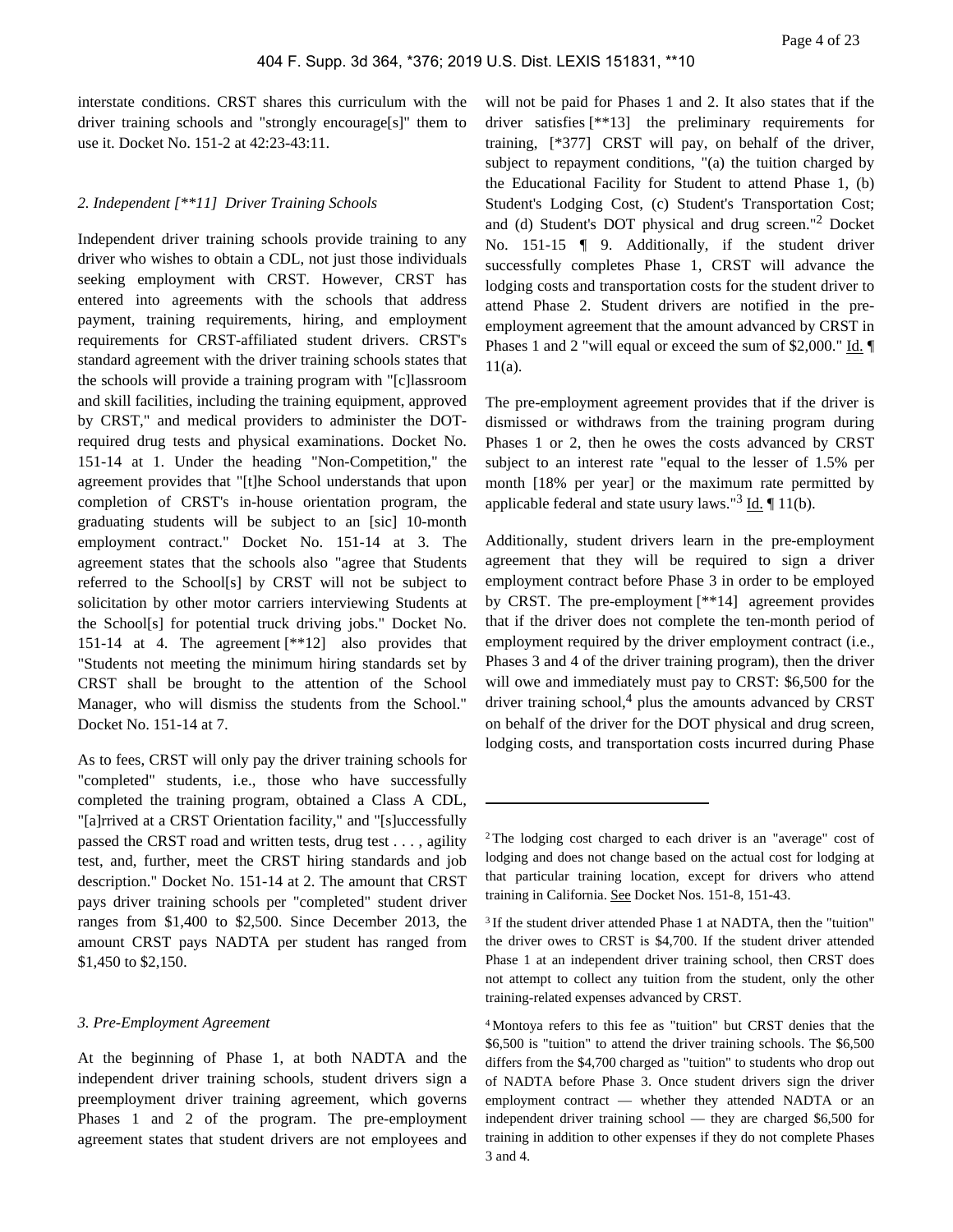interstate conditions. CRST shares this curriculum with the driver training schools and "strongly encourage[s]" them to use it. Docket No. 151-2 at 42:23-43:11.

# *2. Independent [\*\*11] Driver Training Schools*

Independent driver training schools provide training to any driver who wishes to obtain a CDL, not just those individuals seeking employment with CRST. However, CRST has entered into agreements with the schools that address payment, training requirements, hiring, and employment requirements for CRST-affiliated student drivers. CRST's standard agreement with the driver training schools states that the schools will provide a training program with "[c]lassroom and skill facilities, including the training equipment, approved by CRST," and medical providers to administer the DOTrequired drug tests and physical examinations. Docket No. 151-14 at 1. Under the heading "Non-Competition," the agreement provides that "[t]he School understands that upon completion of CRST's in-house orientation program, the graduating students will be subject to an [sic] 10-month employment contract." Docket No. 151-14 at 3. The agreement states that the schools also "agree that Students referred to the School[s] by CRST will not be subject to solicitation by other motor carriers interviewing Students at the School[s] for potential truck driving jobs." Docket No. 151-14 at 4. The agreement [\*\*12] also provides that "Students not meeting the minimum hiring standards set by CRST shall be brought to the attention of the School Manager, who will dismiss the students from the School." Docket No. 151-14 at 7.

As to fees, CRST will only pay the driver training schools for "completed" students, i.e., those who have successfully completed the training program, obtained a Class A CDL, "[a]rrived at a CRST Orientation facility," and "[s]uccessfully passed the CRST road and written tests, drug test . . . , agility test, and, further, meet the CRST hiring standards and job description." Docket No. 151-14 at 2. The amount that CRST pays driver training schools per "completed" student driver ranges from \$1,400 to \$2,500. Since December 2013, the amount CRST pays NADTA per student has ranged from \$1,450 to \$2,150.

#### *3. Pre-Employment Agreement*

At the beginning of Phase 1, at both NADTA and the independent driver training schools, student drivers sign a preemployment driver training agreement, which governs Phases 1 and 2 of the program. The pre-employment agreement states that student drivers are not employees and

will not be paid for Phases 1 and 2. It also states that if the driver satisfies [\*\*13] the preliminary requirements for training, [\*377] CRST will pay, on behalf of the driver, subject to repayment conditions, "(a) the tuition charged by the Educational Facility for Student to attend Phase 1, (b) Student's Lodging Cost, (c) Student's Transportation Cost; and (d) Student's DOT physical and drug screen."<sup>2</sup> Docket No. 151-15 **[134]** 9. Additionally, if the student driver successfully completes Phase 1, CRST will advance the lodging costs and transportation costs for the student driver to attend Phase 2. Student drivers are notified in the preemployment agreement that the amount advanced by CRST in Phases 1 and 2 "will equal or exceed the sum of \$2,000." Id. 11(a).

The pre-employment agreement provides that if the driver is dismissed or withdraws from the training program during Phases 1 or 2, then he owes the costs advanced by CRST subject to an interest rate "equal to the lesser of 1.5% per month [18% per year] or the maximum rate permitted by applicable federal and state usury laws."<sup>3</sup> Id.  $\P$  11(b).

Additionally, student drivers learn in the pre-employment agreement that they will be required to sign a driver employment contract before Phase 3 in order to be employed by CRST. The pre-employment [\*\*14] agreement provides that if the driver does not complete the ten-month period of employment required by the driver employment contract (i.e., Phases 3 and 4 of the driver training program), then the driver will owe and immediately must pay to CRST: \$6,500 for the driver training school,<sup>4</sup> plus the amounts advanced by CRST on behalf of the driver for the DOT physical and drug screen, lodging costs, and transportation costs incurred during Phase

<sup>2</sup>The lodging cost charged to each driver is an "average" cost of lodging and does not change based on the actual cost for lodging at that particular training location, except for drivers who attend training in California. See Docket Nos. 151-8, 151-43.

<sup>&</sup>lt;sup>3</sup> If the student driver attended Phase 1 at NADTA, then the "tuition" the driver owes to CRST is \$4,700. If the student driver attended Phase 1 at an independent driver training school, then CRST does not attempt to collect any tuition from the student, only the other training-related expenses advanced by CRST.

<sup>4</sup>Montoya refers to this fee as "tuition" but CRST denies that the \$6,500 is "tuition" to attend the driver training schools. The \$6,500 differs from the \$4,700 charged as "tuition" to students who drop out of NADTA before Phase 3. Once student drivers sign the driver employment contract — whether they attended NADTA or an independent driver training school — they are charged \$6,500 for training in addition to other expenses if they do not complete Phases 3 and 4.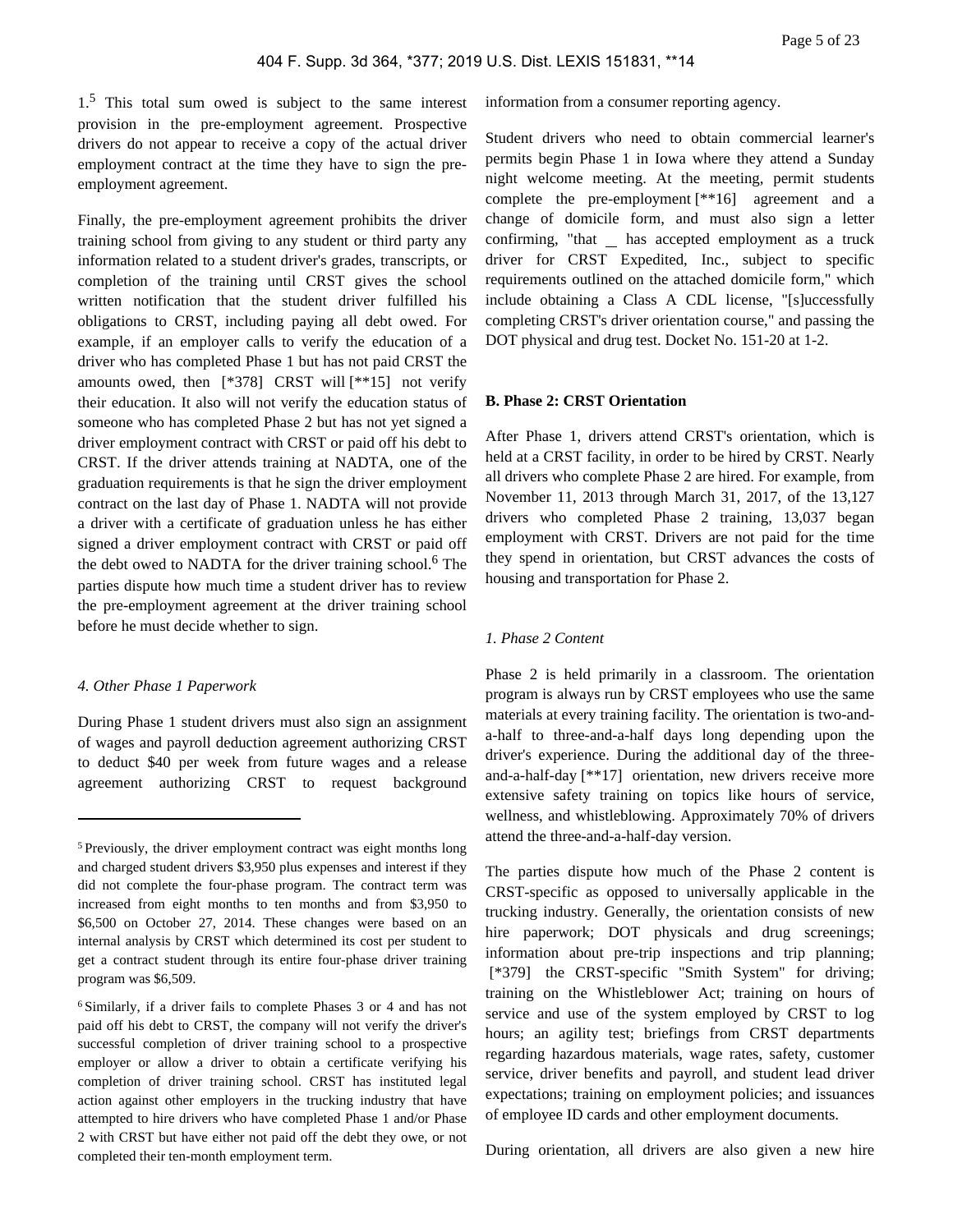1.5 This total sum owed is subject to the same interest provision in the pre-employment agreement. Prospective drivers do not appear to receive a copy of the actual driver employment contract at the time they have to sign the preemployment agreement.

Finally, the pre-employment agreement prohibits the driver training school from giving to any student or third party any information related to a student driver's grades, transcripts, or completion of the training until CRST gives the school written notification that the student driver fulfilled his obligations to CRST, including paying all debt owed. For example, if an employer calls to verify the education of a driver who has completed Phase 1 but has not paid CRST the amounts owed, then  $[*378]$  CRST will  $[**15]$  not verify their education. It also will not verify the education status of someone who has completed Phase 2 but has not yet signed a driver employment contract with CRST or paid off his debt to CRST. If the driver attends training at NADTA, one of the graduation requirements is that he sign the driver employment contract on the last day of Phase 1. NADTA will not provide a driver with a certificate of graduation unless he has either signed a driver employment contract with CRST or paid off the debt owed to NADTA for the driver training school.<sup>6</sup> The parties dispute how much time a student driver has to review the pre-employment agreement at the driver training school before he must decide whether to sign.

#### *4. Other Phase 1 Paperwork*

During Phase 1 student drivers must also sign an assignment of wages and payroll deduction agreement authorizing CRST to deduct \$40 per week from future wages and a release agreement authorizing CRST to request background

information from a consumer reporting agency.

Student drivers who need to obtain commercial learner's permits begin Phase 1 in Iowa where they attend a Sunday night welcome meeting. At the meeting, permit students complete the pre-employment [\*\*16] agreement and a change of domicile form, and must also sign a letter confirming, "that  $\_$  has accepted employment as a truck driver for CRST Expedited, Inc., subject to specific requirements outlined on the attached domicile form," which include obtaining a Class A CDL license, "[s]uccessfully completing CRST's driver orientation course," and passing the DOT physical and drug test. Docket No. 151-20 at 1-2.

### **B. Phase 2: CRST Orientation**

After Phase 1, drivers attend CRST's orientation, which is held at a CRST facility, in order to be hired by CRST. Nearly all drivers who complete Phase 2 are hired. For example, from November 11, 2013 through March 31, 2017, of the 13,127 drivers who completed Phase 2 training, 13,037 began employment with CRST. Drivers are not paid for the time they spend in orientation, but CRST advances the costs of housing and transportation for Phase 2.

#### *1. Phase 2 Content*

Phase 2 is held primarily in a classroom. The orientation program is always run by CRST employees who use the same materials at every training facility. The orientation is two-anda-half to three-and-a-half days long depending upon the driver's experience. During the additional day of the threeand-a-half-day [\*\*17] orientation, new drivers receive more extensive safety training on topics like hours of service, wellness, and whistleblowing. Approximately 70% of drivers attend the three-and-a-half-day version.

The parties dispute how much of the Phase 2 content is CRST-specific as opposed to universally applicable in the trucking industry. Generally, the orientation consists of new hire paperwork; DOT physicals and drug screenings; information about pre-trip inspections and trip planning; [\*379] the CRST-specific "Smith System" for driving; training on the Whistleblower Act; training on hours of service and use of the system employed by CRST to log hours; an agility test; briefings from CRST departments regarding hazardous materials, wage rates, safety, customer service, driver benefits and payroll, and student lead driver expectations; training on employment policies; and issuances of employee ID cards and other employment documents.

During orientation, all drivers are also given a new hire

<sup>5</sup>Previously, the driver employment contract was eight months long and charged student drivers \$3,950 plus expenses and interest if they did not complete the four-phase program. The contract term was increased from eight months to ten months and from \$3,950 to \$6,500 on October 27, 2014. These changes were based on an internal analysis by CRST which determined its cost per student to get a contract student through its entire four-phase driver training program was \$6,509.

<sup>6</sup>Similarly, if a driver fails to complete Phases 3 or 4 and has not paid off his debt to CRST, the company will not verify the driver's successful completion of driver training school to a prospective employer or allow a driver to obtain a certificate verifying his completion of driver training school. CRST has instituted legal action against other employers in the trucking industry that have attempted to hire drivers who have completed Phase 1 and/or Phase 2 with CRST but have either not paid off the debt they owe, or not completed their ten-month employment term.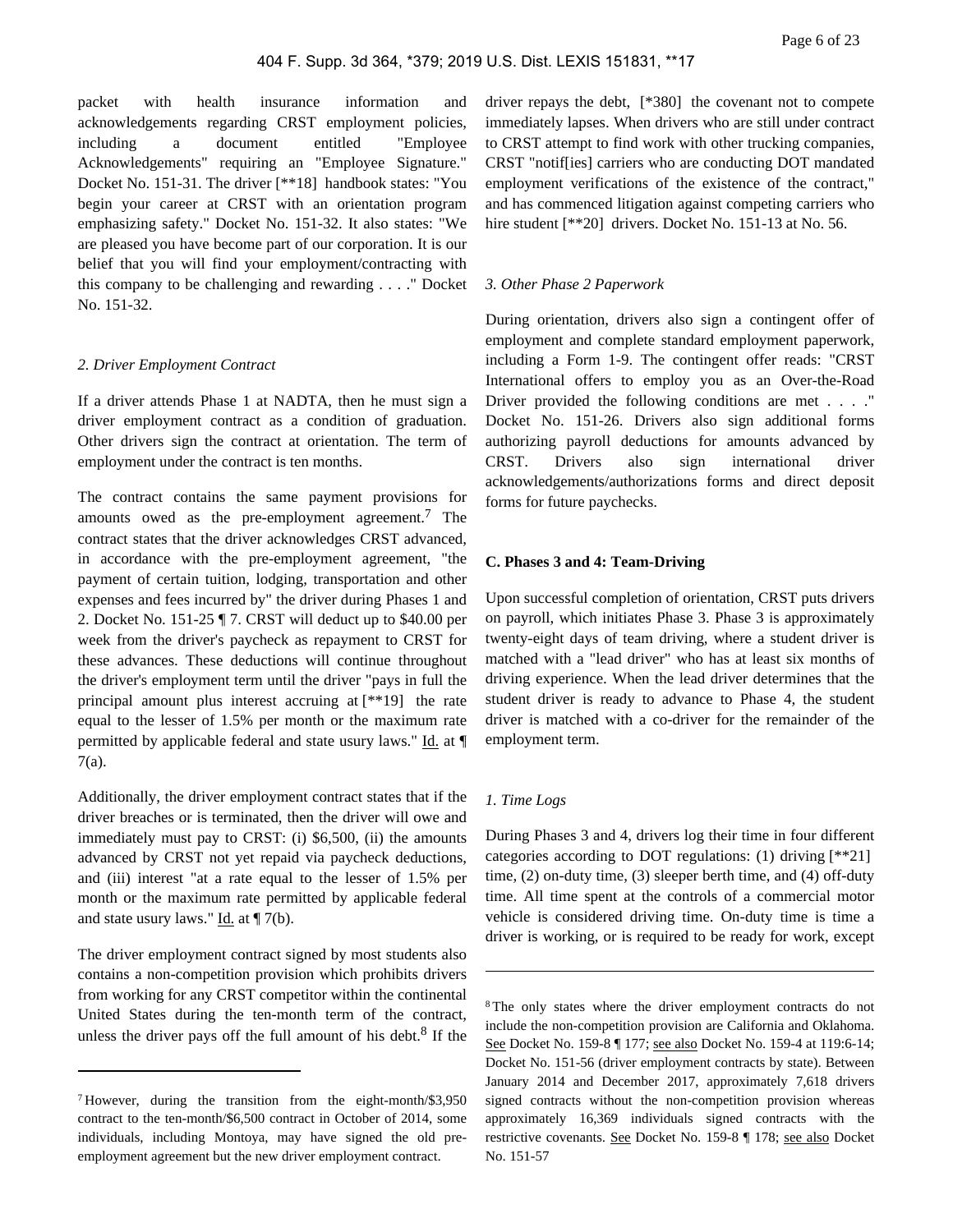packet with health insurance information and acknowledgements regarding CRST employment policies, including a document entitled "Employee Acknowledgements" requiring an "Employee Signature." Docket No. 151-31. The driver [\*\*18] handbook states: "You begin your career at CRST with an orientation program emphasizing safety." Docket No. 151-32. It also states: "We are pleased you have become part of our corporation. It is our belief that you will find your employment/contracting with this company to be challenging and rewarding . . . ." Docket No. 151-32.

#### *2. Driver Employment Contract*

If a driver attends Phase 1 at NADTA, then he must sign a driver employment contract as a condition of graduation. Other drivers sign the contract at orientation. The term of employment under the contract is ten months.

The contract contains the same payment provisions for amounts owed as the pre-employment agreement.<sup>7</sup> The contract states that the driver acknowledges CRST advanced, in accordance with the pre-employment agreement, "the payment of certain tuition, lodging, transportation and other expenses and fees incurred by" the driver during Phases 1 and 2. Docket No. 151-25 ¶ 7. CRST will deduct up to \$40.00 per week from the driver's paycheck as repayment to CRST for these advances. These deductions will continue throughout the driver's employment term until the driver "pays in full the principal amount plus interest accruing at [\*\*19] the rate equal to the lesser of 1.5% per month or the maximum rate permitted by applicable federal and state usury laws." Id. at ¶ 7(a).

Additionally, the driver employment contract states that if the driver breaches or is terminated, then the driver will owe and immediately must pay to CRST: (i) \$6,500, (ii) the amounts advanced by CRST not yet repaid via paycheck deductions, and (iii) interest "at a rate equal to the lesser of 1.5% per month or the maximum rate permitted by applicable federal and state usury laws." Id. at  $\P$  7(b).

The driver employment contract signed by most students also contains a non-competition provision which prohibits drivers from working for any CRST competitor within the continental United States during the ten-month term of the contract, unless the driver pays off the full amount of his debt.<sup>8</sup> If the driver repays the debt, [\*380] the covenant not to compete immediately lapses. When drivers who are still under contract to CRST attempt to find work with other trucking companies, CRST "notif[ies] carriers who are conducting DOT mandated employment verifications of the existence of the contract," and has commenced litigation against competing carriers who hire student [\*\*20] drivers. Docket No. 151-13 at No. 56.

#### *3. Other Phase 2 Paperwork*

During orientation, drivers also sign a contingent offer of employment and complete standard employment paperwork, including a Form 1-9. The contingent offer reads: "CRST International offers to employ you as an Over-the-Road Driver provided the following conditions are met . . . ." Docket No. 151-26. Drivers also sign additional forms authorizing payroll deductions for amounts advanced by CRST. Drivers also sign international driver acknowledgements/authorizations forms and direct deposit forms for future paychecks.

#### **C. Phases 3 and 4: Team-Driving**

Upon successful completion of orientation, CRST puts drivers on payroll, which initiates Phase 3. Phase 3 is approximately twenty-eight days of team driving, where a student driver is matched with a "lead driver" who has at least six months of driving experience. When the lead driver determines that the student driver is ready to advance to Phase 4, the student driver is matched with a co-driver for the remainder of the employment term.

#### *1. Time Logs*

During Phases 3 and 4, drivers log their time in four different categories according to DOT regulations: (1) driving [\*\*21] time, (2) on-duty time, (3) sleeper berth time, and (4) off-duty time. All time spent at the controls of a commercial motor vehicle is considered driving time. On-duty time is time a driver is working, or is required to be ready for work, except

<sup>7</sup>However, during the transition from the eight-month/\$3,950 contract to the ten-month/\$6,500 contract in October of 2014, some individuals, including Montoya, may have signed the old preemployment agreement but the new driver employment contract.

<sup>8</sup>The only states where the driver employment contracts do not include the non-competition provision are California and Oklahoma. See Docket No. 159-8 | 177; see also Docket No. 159-4 at 119:6-14; Docket No. 151-56 (driver employment contracts by state). Between January 2014 and December 2017, approximately 7,618 drivers signed contracts without the non-competition provision whereas approximately 16,369 individuals signed contracts with the restrictive covenants. See Docket No. 159-8 ¶ 178; see also Docket No. 151-57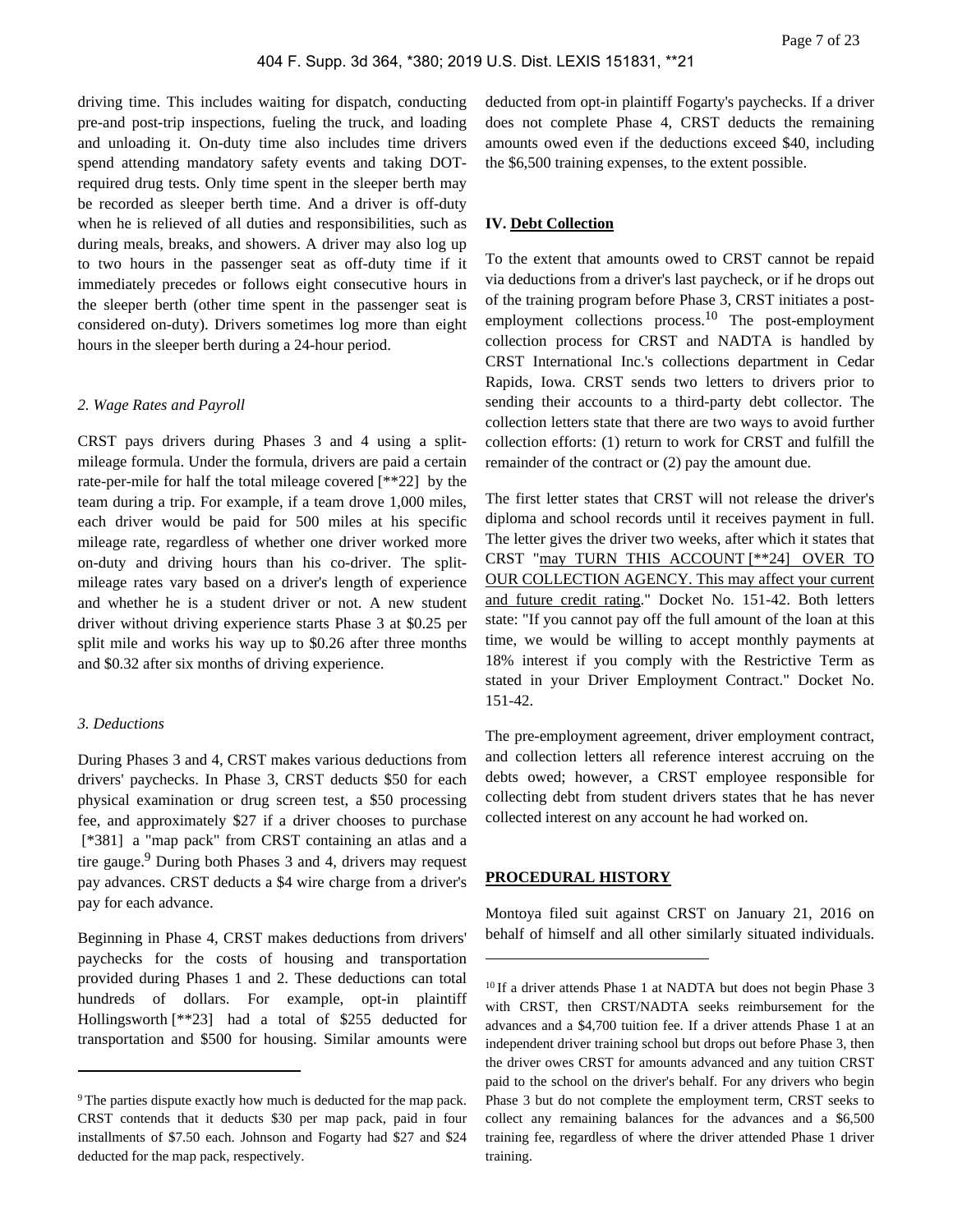driving time. This includes waiting for dispatch, conducting pre-and post-trip inspections, fueling the truck, and loading and unloading it. On-duty time also includes time drivers spend attending mandatory safety events and taking DOTrequired drug tests. Only time spent in the sleeper berth may be recorded as sleeper berth time. And a driver is off-duty when he is relieved of all duties and responsibilities, such as during meals, breaks, and showers. A driver may also log up to two hours in the passenger seat as off-duty time if it immediately precedes or follows eight consecutive hours in the sleeper berth (other time spent in the passenger seat is considered on-duty). Drivers sometimes log more than eight hours in the sleeper berth during a 24-hour period.

#### *2. Wage Rates and Payroll*

CRST pays drivers during Phases 3 and 4 using a splitmileage formula. Under the formula, drivers are paid a certain rate-per-mile for half the total mileage covered [\*\*22] by the team during a trip. For example, if a team drove 1,000 miles, each driver would be paid for 500 miles at his specific mileage rate, regardless of whether one driver worked more on-duty and driving hours than his co-driver. The splitmileage rates vary based on a driver's length of experience and whether he is a student driver or not. A new student driver without driving experience starts Phase 3 at \$0.25 per split mile and works his way up to \$0.26 after three months and \$0.32 after six months of driving experience.

#### *3. Deductions*

During Phases 3 and 4, CRST makes various deductions from drivers' paychecks. In Phase 3, CRST deducts \$50 for each physical examination or drug screen test, a \$50 processing fee, and approximately \$27 if a driver chooses to purchase [\*381] a "map pack" from CRST containing an atlas and a tire gauge.<sup>9</sup> During both Phases 3 and 4, drivers may request pay advances. CRST deducts a \$4 wire charge from a driver's pay for each advance.

Beginning in Phase 4, CRST makes deductions from drivers' paychecks for the costs of housing and transportation provided during Phases 1 and 2. These deductions can total hundreds of dollars. For example, opt-in plaintiff Hollingsworth [\*\*23] had a total of \$255 deducted for transportation and \$500 for housing. Similar amounts were deducted from opt-in plaintiff Fogarty's paychecks. If a driver does not complete Phase 4, CRST deducts the remaining amounts owed even if the deductions exceed \$40, including the \$6,500 training expenses, to the extent possible.

# **IV. Debt Collection**

To the extent that amounts owed to CRST cannot be repaid via deductions from a driver's last paycheck, or if he drops out of the training program before Phase 3, CRST initiates a postemployment collections process.<sup>10</sup> The post-employment collection process for CRST and NADTA is handled by CRST International Inc.'s collections department in Cedar Rapids, Iowa. CRST sends two letters to drivers prior to sending their accounts to a third-party debt collector. The collection letters state that there are two ways to avoid further collection efforts: (1) return to work for CRST and fulfill the remainder of the contract or (2) pay the amount due.

The first letter states that CRST will not release the driver's diploma and school records until it receives payment in full. The letter gives the driver two weeks, after which it states that CRST "may TURN THIS ACCOUNT [\*\*24] OVER TO OUR COLLECTION AGENCY. This may affect your current and future credit rating." Docket No. 151-42. Both letters state: "If you cannot pay off the full amount of the loan at this time, we would be willing to accept monthly payments at 18% interest if you comply with the Restrictive Term as stated in your Driver Employment Contract." Docket No. 151-42.

The pre-employment agreement, driver employment contract, and collection letters all reference interest accruing on the debts owed; however, a CRST employee responsible for collecting debt from student drivers states that he has never collected interest on any account he had worked on.

#### **PROCEDURAL HISTORY**

Montoya filed suit against CRST on January 21, 2016 on behalf of himself and all other similarly situated individuals.

<sup>&</sup>lt;sup>9</sup>The parties dispute exactly how much is deducted for the map pack. CRST contends that it deducts \$30 per map pack, paid in four installments of \$7.50 each. Johnson and Fogarty had \$27 and \$24 deducted for the map pack, respectively.

<sup>&</sup>lt;sup>10</sup> If a driver attends Phase 1 at NADTA but does not begin Phase 3 with CRST, then CRST/NADTA seeks reimbursement for the advances and a \$4,700 tuition fee. If a driver attends Phase 1 at an independent driver training school but drops out before Phase 3, then the driver owes CRST for amounts advanced and any tuition CRST paid to the school on the driver's behalf. For any drivers who begin Phase 3 but do not complete the employment term, CRST seeks to collect any remaining balances for the advances and a \$6,500 training fee, regardless of where the driver attended Phase 1 driver training.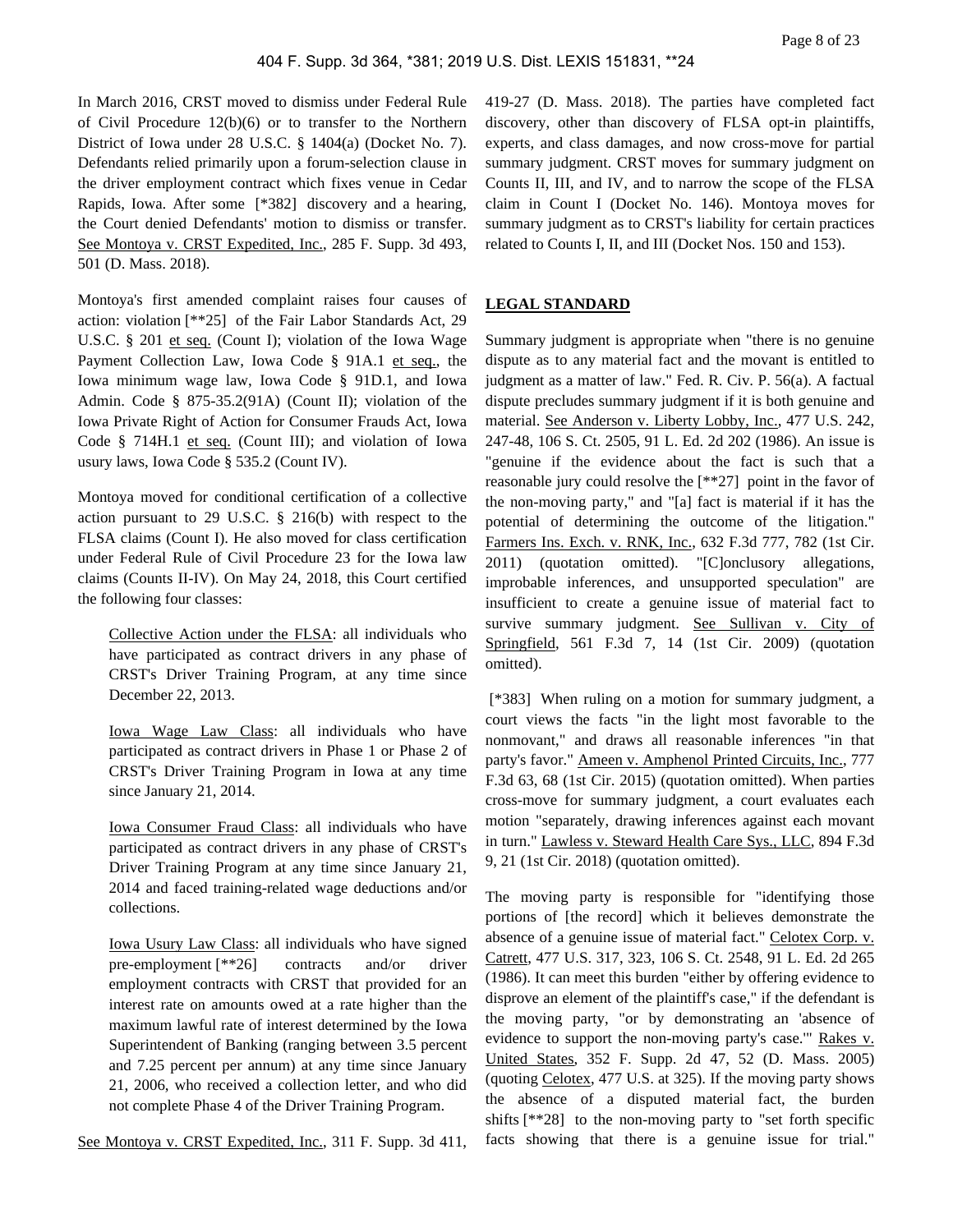In March 2016, CRST moved to dismiss under Federal Rule of Civil Procedure 12(b)(6) or to transfer to the Northern District of Iowa under 28 U.S.C. § 1404(a) (Docket No. 7). Defendants relied primarily upon a forum-selection clause in the driver employment contract which fixes venue in Cedar Rapids, Iowa. After some [\*382] discovery and a hearing, the Court denied Defendants' motion to dismiss or transfer. See Montoya v. CRST Expedited, Inc., 285 F. Supp. 3d 493, 501 (D. Mass. 2018).

Montoya's first amended complaint raises four causes of action: violation [\*\*25] of the Fair Labor Standards Act, 29 U.S.C. § 201 et seq. (Count I); violation of the Iowa Wage Payment Collection Law, Iowa Code § 91A.1 et seq., the Iowa minimum wage law, Iowa Code § 91D.1, and Iowa Admin. Code § 875-35.2(91A) (Count II); violation of the Iowa Private Right of Action for Consumer Frauds Act, Iowa Code § 714H.1 et seq. (Count III); and violation of Iowa usury laws, Iowa Code § 535.2 (Count IV).

Montoya moved for conditional certification of a collective action pursuant to 29 U.S.C. § 216(b) with respect to the FLSA claims (Count I). He also moved for class certification under Federal Rule of Civil Procedure 23 for the Iowa law claims (Counts II-IV). On May 24, 2018, this Court certified the following four classes:

Collective Action under the FLSA: all individuals who have participated as contract drivers in any phase of CRST's Driver Training Program, at any time since December 22, 2013.

Iowa Wage Law Class: all individuals who have participated as contract drivers in Phase 1 or Phase 2 of CRST's Driver Training Program in Iowa at any time since January 21, 2014.

Iowa Consumer Fraud Class: all individuals who have participated as contract drivers in any phase of CRST's Driver Training Program at any time since January 21, 2014 and faced training-related wage deductions and/or collections.

Iowa Usury Law Class: all individuals who have signed pre-employment [\*\*26] contracts and/or driver employment contracts with CRST that provided for an interest rate on amounts owed at a rate higher than the maximum lawful rate of interest determined by the Iowa Superintendent of Banking (ranging between 3.5 percent and 7.25 percent per annum) at any time since January 21, 2006, who received a collection letter, and who did not complete Phase 4 of the Driver Training Program.

See Montoya v. CRST Expedited, Inc., 311 F. Supp. 3d 411,

419-27 (D. Mass. 2018). The parties have completed fact discovery, other than discovery of FLSA opt-in plaintiffs, experts, and class damages, and now cross-move for partial summary judgment. CRST moves for summary judgment on Counts II, III, and IV, and to narrow the scope of the FLSA claim in Count I (Docket No. 146). Montoya moves for summary judgment as to CRST's liability for certain practices related to Counts I, II, and III (Docket Nos. 150 and 153).

# **LEGAL STANDARD**

Summary judgment is appropriate when "there is no genuine dispute as to any material fact and the movant is entitled to judgment as a matter of law." Fed. R. Civ. P. 56(a). A factual dispute precludes summary judgment if it is both genuine and material. See Anderson v. Liberty Lobby, Inc., 477 U.S. 242, 247-48, 106 S. Ct. 2505, 91 L. Ed. 2d 202 (1986). An issue is "genuine if the evidence about the fact is such that a reasonable jury could resolve the [\*\*27] point in the favor of the non-moving party," and "[a] fact is material if it has the potential of determining the outcome of the litigation." Farmers Ins. Exch. v. RNK, Inc., 632 F.3d 777, 782 (1st Cir. 2011) (quotation omitted). "[C]onclusory allegations, improbable inferences, and unsupported speculation" are insufficient to create a genuine issue of material fact to survive summary judgment. See Sullivan v. City of Springfield, 561 F.3d 7, 14 (1st Cir. 2009) (quotation omitted).

 [\*383] When ruling on a motion for summary judgment, a court views the facts "in the light most favorable to the nonmovant," and draws all reasonable inferences "in that party's favor." Ameen v. Amphenol Printed Circuits, Inc., 777 F.3d 63, 68 (1st Cir. 2015) (quotation omitted). When parties cross-move for summary judgment, a court evaluates each motion "separately, drawing inferences against each movant in turn." Lawless v. Steward Health Care Sys., LLC, 894 F.3d 9, 21 (1st Cir. 2018) (quotation omitted).

The moving party is responsible for "identifying those portions of [the record] which it believes demonstrate the absence of a genuine issue of material fact." Celotex Corp. v. Catrett, 477 U.S. 317, 323, 106 S. Ct. 2548, 91 L. Ed. 2d 265 (1986). It can meet this burden "either by offering evidence to disprove an element of the plaintiff's case," if the defendant is the moving party, "or by demonstrating an 'absence of evidence to support the non-moving party's case.'" Rakes v. United States, 352 F. Supp. 2d 47, 52 (D. Mass. 2005) (quoting Celotex, 477 U.S. at 325). If the moving party shows the absence of a disputed material fact, the burden shifts [\*\*28] to the non-moving party to "set forth specific facts showing that there is a genuine issue for trial."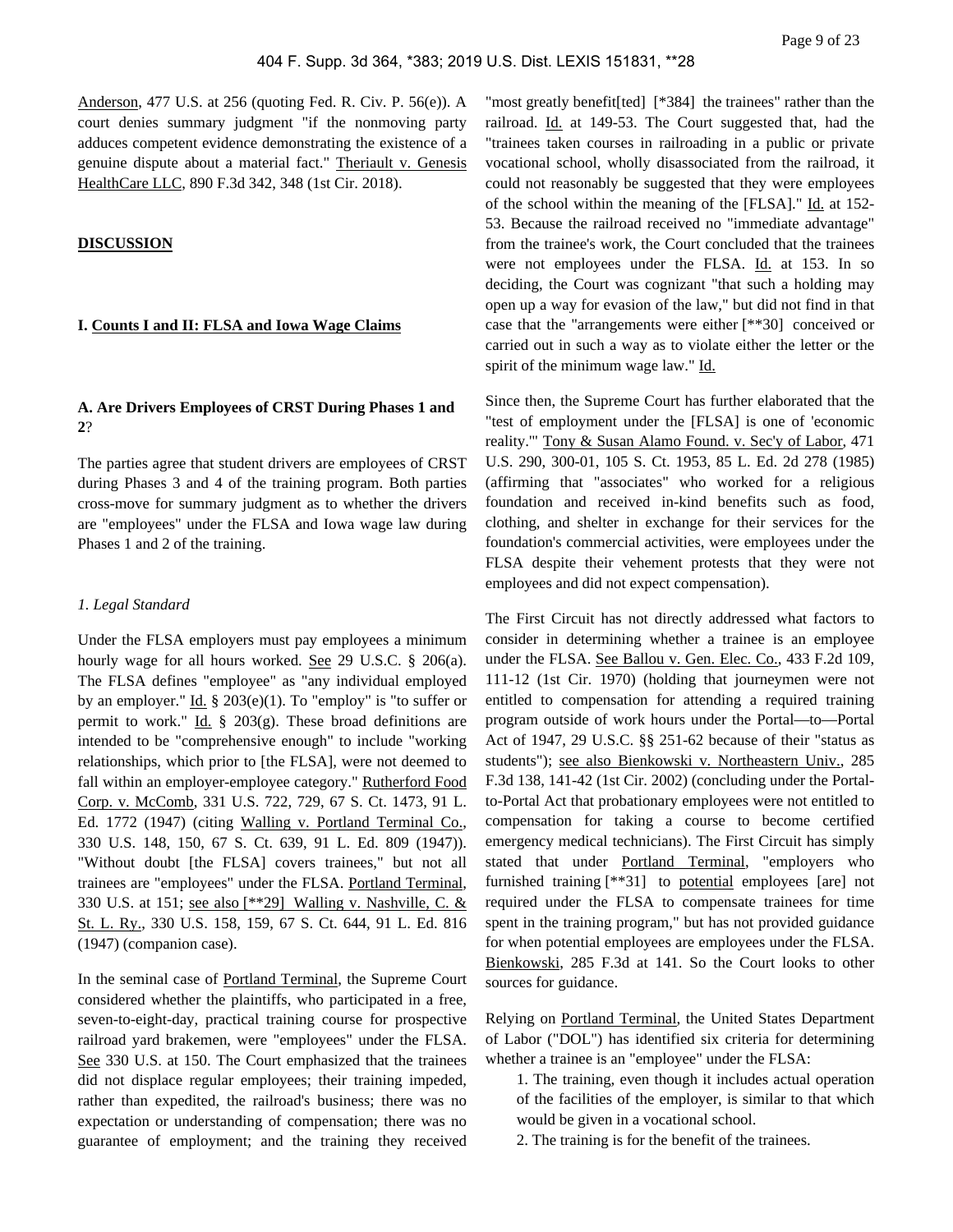Anderson, 477 U.S. at 256 (quoting Fed. R. Civ. P. 56(e)). A court denies summary judgment "if the nonmoving party adduces competent evidence demonstrating the existence of a genuine dispute about a material fact." Theriault v. Genesis HealthCare LLC, 890 F.3d 342, 348 (1st Cir. 2018).

#### **DISCUSSION**

# **I. Counts I and II: FLSA and Iowa Wage Claims**

# **A. Are Drivers Employees of CRST During Phases 1 and 2**?

The parties agree that student drivers are employees of CRST during Phases 3 and 4 of the training program. Both parties cross-move for summary judgment as to whether the drivers are "employees" under the FLSA and Iowa wage law during Phases 1 and 2 of the training.

## *1. Legal Standard*

Under the FLSA employers must pay employees a minimum hourly wage for all hours worked. See 29 U.S.C. § 206(a). The FLSA defines "employee" as "any individual employed by an employer." Id.  $\S 203(e)(1)$ . To "employ" is "to suffer or permit to work." Id.  $\S$  203(g). These broad definitions are intended to be "comprehensive enough" to include "working relationships, which prior to [the FLSA], were not deemed to fall within an employer-employee category." Rutherford Food Corp. v. McComb, 331 U.S. 722, 729, 67 S. Ct. 1473, 91 L. Ed. 1772 (1947) (citing Walling v. Portland Terminal Co., 330 U.S. 148, 150, 67 S. Ct. 639, 91 L. Ed. 809 (1947)). "Without doubt [the FLSA] covers trainees," but not all trainees are "employees" under the FLSA. Portland Terminal, 330 U.S. at 151; see also [\*\*29] Walling v. Nashville, C. & St. L. Ry., 330 U.S. 158, 159, 67 S. Ct. 644, 91 L. Ed. 816 (1947) (companion case).

In the seminal case of Portland Terminal, the Supreme Court considered whether the plaintiffs, who participated in a free, seven-to-eight-day, practical training course for prospective railroad yard brakemen, were "employees" under the FLSA. See 330 U.S. at 150. The Court emphasized that the trainees did not displace regular employees; their training impeded, rather than expedited, the railroad's business; there was no expectation or understanding of compensation; there was no guarantee of employment; and the training they received

"most greatly benefit[ted] [\*384] the trainees" rather than the railroad. Id. at 149-53. The Court suggested that, had the "trainees taken courses in railroading in a public or private vocational school, wholly disassociated from the railroad, it could not reasonably be suggested that they were employees of the school within the meaning of the [FLSA]." Id. at 152-53. Because the railroad received no "immediate advantage" from the trainee's work, the Court concluded that the trainees were not employees under the FLSA. Id. at 153. In so deciding, the Court was cognizant "that such a holding may open up a way for evasion of the law," but did not find in that case that the "arrangements were either [\*\*30] conceived or carried out in such a way as to violate either the letter or the spirit of the minimum wage law." Id.

Since then, the Supreme Court has further elaborated that the "test of employment under the [FLSA] is one of 'economic reality.'" Tony & Susan Alamo Found. v. Sec'y of Labor, 471 U.S. 290, 300-01, 105 S. Ct. 1953, 85 L. Ed. 2d 278 (1985) (affirming that "associates" who worked for a religious foundation and received in-kind benefits such as food, clothing, and shelter in exchange for their services for the foundation's commercial activities, were employees under the FLSA despite their vehement protests that they were not employees and did not expect compensation).

The First Circuit has not directly addressed what factors to consider in determining whether a trainee is an employee under the FLSA. See Ballou v. Gen. Elec. Co., 433 F.2d 109, 111-12 (1st Cir. 1970) (holding that journeymen were not entitled to compensation for attending a required training program outside of work hours under the Portal—to—Portal Act of 1947, 29 U.S.C. §§ 251-62 because of their "status as students"); see also Bienkowski v. Northeastern Univ., 285 F.3d 138, 141-42 (1st Cir. 2002) (concluding under the Portalto-Portal Act that probationary employees were not entitled to compensation for taking a course to become certified emergency medical technicians). The First Circuit has simply stated that under Portland Terminal, "employers who furnished training [\*\*31] to potential employees [are] not required under the FLSA to compensate trainees for time spent in the training program," but has not provided guidance for when potential employees are employees under the FLSA. Bienkowski, 285 F.3d at 141. So the Court looks to other sources for guidance.

Relying on Portland Terminal, the United States Department of Labor ("DOL") has identified six criteria for determining whether a trainee is an "employee" under the FLSA:

- 1. The training, even though it includes actual operation of the facilities of the employer, is similar to that which would be given in a vocational school.
- 2. The training is for the benefit of the trainees.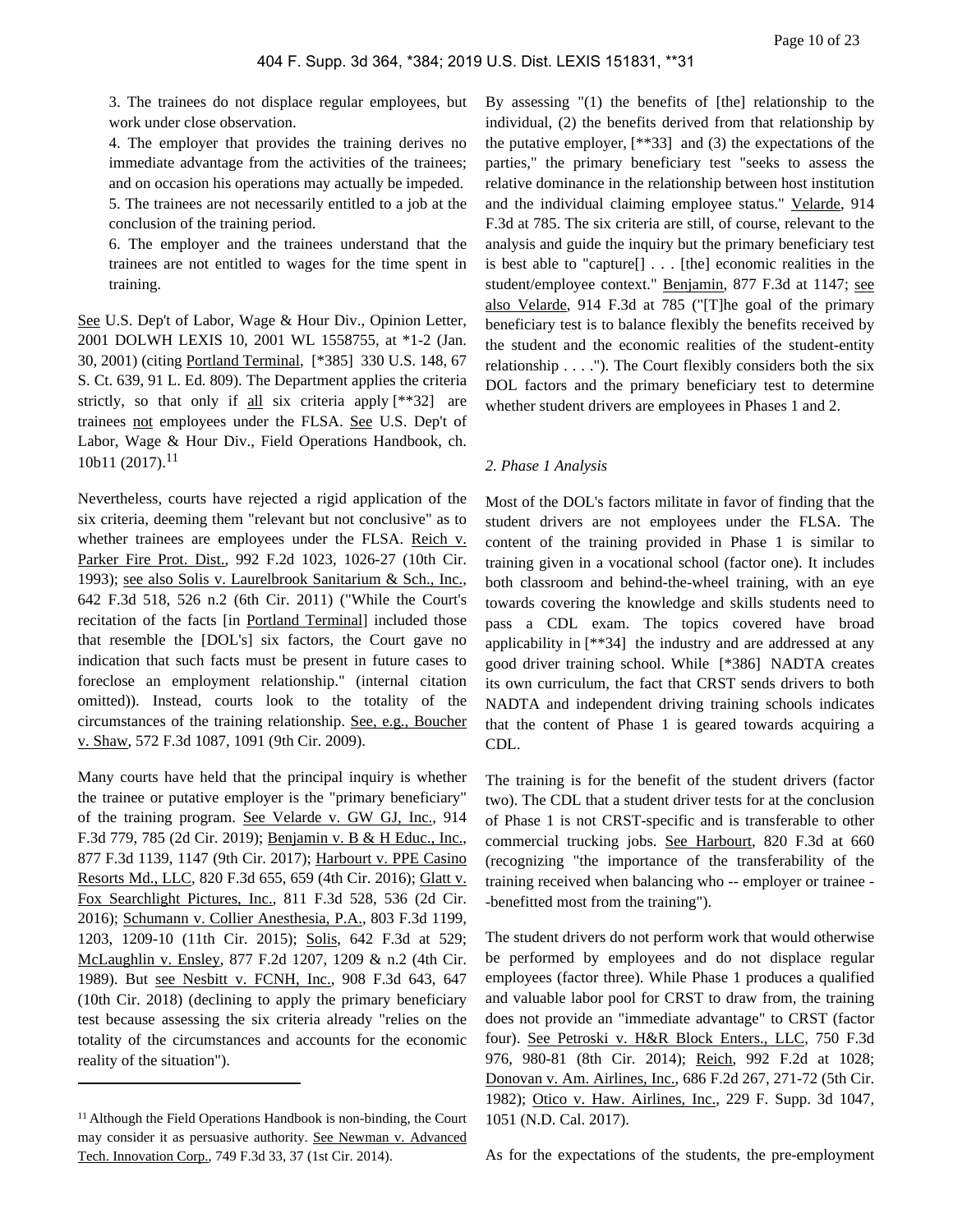3. The trainees do not displace regular employees, but work under close observation.

4. The employer that provides the training derives no immediate advantage from the activities of the trainees; and on occasion his operations may actually be impeded. 5. The trainees are not necessarily entitled to a job at the conclusion of the training period.

6. The employer and the trainees understand that the trainees are not entitled to wages for the time spent in training.

See U.S. Dep't of Labor, Wage & Hour Div., Opinion Letter, 2001 DOLWH LEXIS 10, 2001 WL 1558755, at \*1-2 (Jan. 30, 2001) (citing Portland Terminal, [\*385] 330 U.S. 148, 67 S. Ct. 639, 91 L. Ed. 809). The Department applies the criteria strictly, so that only if all six criteria apply [\*\*32] are trainees not employees under the FLSA. See U.S. Dep't of Labor, Wage & Hour Div., Field Operations Handbook, ch.  $10b11 (2017).$ <sup>11</sup>

Nevertheless, courts have rejected a rigid application of the six criteria, deeming them "relevant but not conclusive" as to whether trainees are employees under the FLSA. Reich v. Parker Fire Prot. Dist., 992 F.2d 1023, 1026-27 (10th Cir. 1993); see also Solis v. Laurelbrook Sanitarium & Sch., Inc., 642 F.3d 518, 526 n.2 (6th Cir. 2011) ("While the Court's recitation of the facts [in Portland Terminal] included those that resemble the [DOL's] six factors, the Court gave no indication that such facts must be present in future cases to foreclose an employment relationship." (internal citation omitted)). Instead, courts look to the totality of the circumstances of the training relationship. See, e.g., Boucher v. Shaw, 572 F.3d 1087, 1091 (9th Cir. 2009).

Many courts have held that the principal inquiry is whether the trainee or putative employer is the "primary beneficiary" of the training program. See Velarde v. GW GJ, Inc., 914 F.3d 779, 785 (2d Cir. 2019); Benjamin v. B & H Educ., Inc., 877 F.3d 1139, 1147 (9th Cir. 2017); Harbourt v. PPE Casino Resorts Md., LLC, 820 F.3d 655, 659 (4th Cir. 2016); Glatt v. Fox Searchlight Pictures, Inc., 811 F.3d 528, 536 (2d Cir. 2016); Schumann v. Collier Anesthesia, P.A., 803 F.3d 1199, 1203, 1209-10 (11th Cir. 2015); Solis, 642 F.3d at 529; McLaughlin v. Ensley, 877 F.2d 1207, 1209 & n.2 (4th Cir. 1989). But see Nesbitt v. FCNH, Inc., 908 F.3d 643, 647 (10th Cir. 2018) (declining to apply the primary beneficiary test because assessing the six criteria already "relies on the totality of the circumstances and accounts for the economic reality of the situation").

By assessing "(1) the benefits of [the] relationship to the individual, (2) the benefits derived from that relationship by the putative employer, [\*\*33] and (3) the expectations of the parties," the primary beneficiary test "seeks to assess the relative dominance in the relationship between host institution and the individual claiming employee status." Velarde, 914 F.3d at 785. The six criteria are still, of course, relevant to the analysis and guide the inquiry but the primary beneficiary test is best able to "capture[] . . . [the] economic realities in the student/employee context." Benjamin, 877 F.3d at 1147; see also Velarde, 914 F.3d at 785 ("[T]he goal of the primary beneficiary test is to balance flexibly the benefits received by the student and the economic realities of the student-entity relationship  $\dots$ ."). The Court flexibly considers both the six DOL factors and the primary beneficiary test to determine whether student drivers are employees in Phases 1 and 2.

#### *2. Phase 1 Analysis*

Most of the DOL's factors militate in favor of finding that the student drivers are not employees under the FLSA. The content of the training provided in Phase 1 is similar to training given in a vocational school (factor one). It includes both classroom and behind-the-wheel training, with an eye towards covering the knowledge and skills students need to pass a CDL exam. The topics covered have broad applicability in [\*\*34] the industry and are addressed at any good driver training school. While [\*386] NADTA creates its own curriculum, the fact that CRST sends drivers to both NADTA and independent driving training schools indicates that the content of Phase 1 is geared towards acquiring a CDL.

The training is for the benefit of the student drivers (factor two). The CDL that a student driver tests for at the conclusion of Phase 1 is not CRST-specific and is transferable to other commercial trucking jobs. See Harbourt, 820 F.3d at 660 (recognizing "the importance of the transferability of the training received when balancing who -- employer or trainee - -benefitted most from the training").

The student drivers do not perform work that would otherwise be performed by employees and do not displace regular employees (factor three). While Phase 1 produces a qualified and valuable labor pool for CRST to draw from, the training does not provide an "immediate advantage" to CRST (factor four). See Petroski v. H&R Block Enters., LLC, 750 F.3d 976, 980-81 (8th Cir. 2014); Reich, 992 F.2d at 1028; Donovan v. Am. Airlines, Inc., 686 F.2d 267, 271-72 (5th Cir. 1982); Otico v. Haw. Airlines, Inc., 229 F. Supp. 3d 1047, 1051 (N.D. Cal. 2017).

As for the expectations of the students, the pre-employment

<sup>&</sup>lt;sup>11</sup> Although the Field Operations Handbook is non-binding, the Court may consider it as persuasive authority. See Newman v. Advanced Tech. Innovation Corp., 749 F.3d 33, 37 (1st Cir. 2014).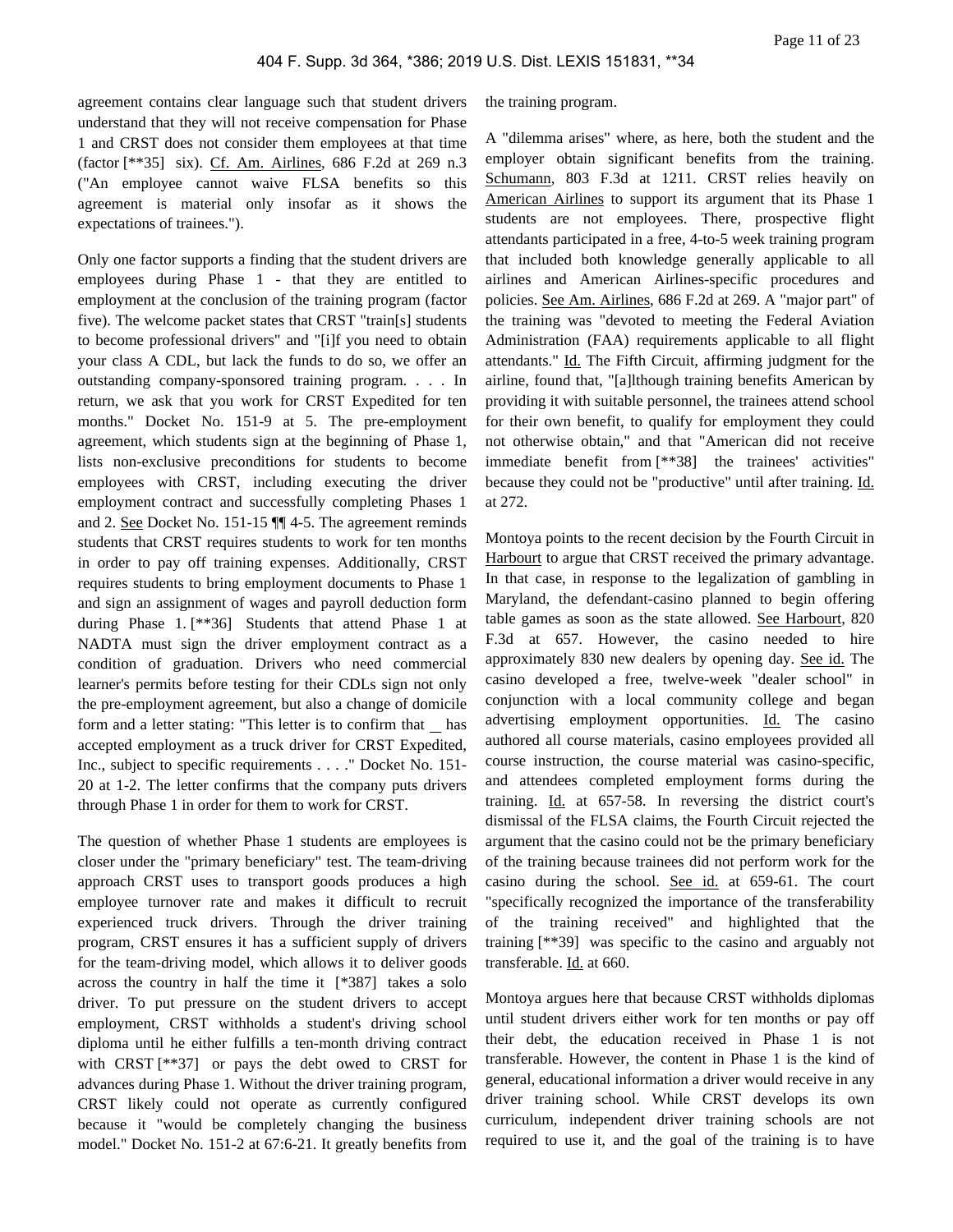agreement contains clear language such that student drivers understand that they will not receive compensation for Phase 1 and CRST does not consider them employees at that time (factor [\*\*35] six). Cf. Am. Airlines, 686 F.2d at 269 n.3 ("An employee cannot waive FLSA benefits so this agreement is material only insofar as it shows the expectations of trainees.").

Only one factor supports a finding that the student drivers are employees during Phase 1 - that they are entitled to employment at the conclusion of the training program (factor five). The welcome packet states that CRST "train[s] students to become professional drivers" and "[i]f you need to obtain your class A CDL, but lack the funds to do so, we offer an outstanding company-sponsored training program. . . . In return, we ask that you work for CRST Expedited for ten months." Docket No. 151-9 at 5. The pre-employment agreement, which students sign at the beginning of Phase 1, lists non-exclusive preconditions for students to become employees with CRST, including executing the driver employment contract and successfully completing Phases 1 and 2. See Docket No. 151-15 ¶¶ 4-5. The agreement reminds students that CRST requires students to work for ten months in order to pay off training expenses. Additionally, CRST requires students to bring employment documents to Phase 1 and sign an assignment of wages and payroll deduction form during Phase 1. [\*\*36] Students that attend Phase 1 at NADTA must sign the driver employment contract as a condition of graduation. Drivers who need commercial learner's permits before testing for their CDLs sign not only the pre-employment agreement, but also a change of domicile form and a letter stating: "This letter is to confirm that \_ has accepted employment as a truck driver for CRST Expedited, Inc., subject to specific requirements . . . ." Docket No. 151- 20 at 1-2. The letter confirms that the company puts drivers through Phase 1 in order for them to work for CRST.

The question of whether Phase 1 students are employees is closer under the "primary beneficiary" test. The team-driving approach CRST uses to transport goods produces a high employee turnover rate and makes it difficult to recruit experienced truck drivers. Through the driver training program, CRST ensures it has a sufficient supply of drivers for the team-driving model, which allows it to deliver goods across the country in half the time it [\*387] takes a solo driver. To put pressure on the student drivers to accept employment, CRST withholds a student's driving school diploma until he either fulfills a ten-month driving contract with CRST [\*\*37] or pays the debt owed to CRST for advances during Phase 1. Without the driver training program, CRST likely could not operate as currently configured because it "would be completely changing the business model." Docket No. 151-2 at 67:6-21. It greatly benefits from

the training program.

A "dilemma arises" where, as here, both the student and the employer obtain significant benefits from the training. Schumann, 803 F.3d at 1211. CRST relies heavily on American Airlines to support its argument that its Phase 1 students are not employees. There, prospective flight attendants participated in a free, 4-to-5 week training program that included both knowledge generally applicable to all airlines and American Airlines-specific procedures and policies. See Am. Airlines, 686 F.2d at 269. A "major part" of the training was "devoted to meeting the Federal Aviation Administration (FAA) requirements applicable to all flight attendants." Id. The Fifth Circuit, affirming judgment for the airline, found that, "[a]lthough training benefits American by providing it with suitable personnel, the trainees attend school for their own benefit, to qualify for employment they could not otherwise obtain," and that "American did not receive immediate benefit from [\*\*38] the trainees' activities" because they could not be "productive" until after training. Id. at 272.

Montoya points to the recent decision by the Fourth Circuit in Harbourt to argue that CRST received the primary advantage. In that case, in response to the legalization of gambling in Maryland, the defendant-casino planned to begin offering table games as soon as the state allowed. See Harbourt, 820 F.3d at 657. However, the casino needed to hire approximately 830 new dealers by opening day. See id. The casino developed a free, twelve-week "dealer school" in conjunction with a local community college and began advertising employment opportunities. Id. The casino authored all course materials, casino employees provided all course instruction, the course material was casino-specific, and attendees completed employment forms during the training. Id. at 657-58. In reversing the district court's dismissal of the FLSA claims, the Fourth Circuit rejected the argument that the casino could not be the primary beneficiary of the training because trainees did not perform work for the casino during the school. See id. at 659-61. The court "specifically recognized the importance of the transferability of the training received" and highlighted that the training [\*\*39] was specific to the casino and arguably not transferable. Id. at 660.

Montoya argues here that because CRST withholds diplomas until student drivers either work for ten months or pay off their debt, the education received in Phase 1 is not transferable. However, the content in Phase 1 is the kind of general, educational information a driver would receive in any driver training school. While CRST develops its own curriculum, independent driver training schools are not required to use it, and the goal of the training is to have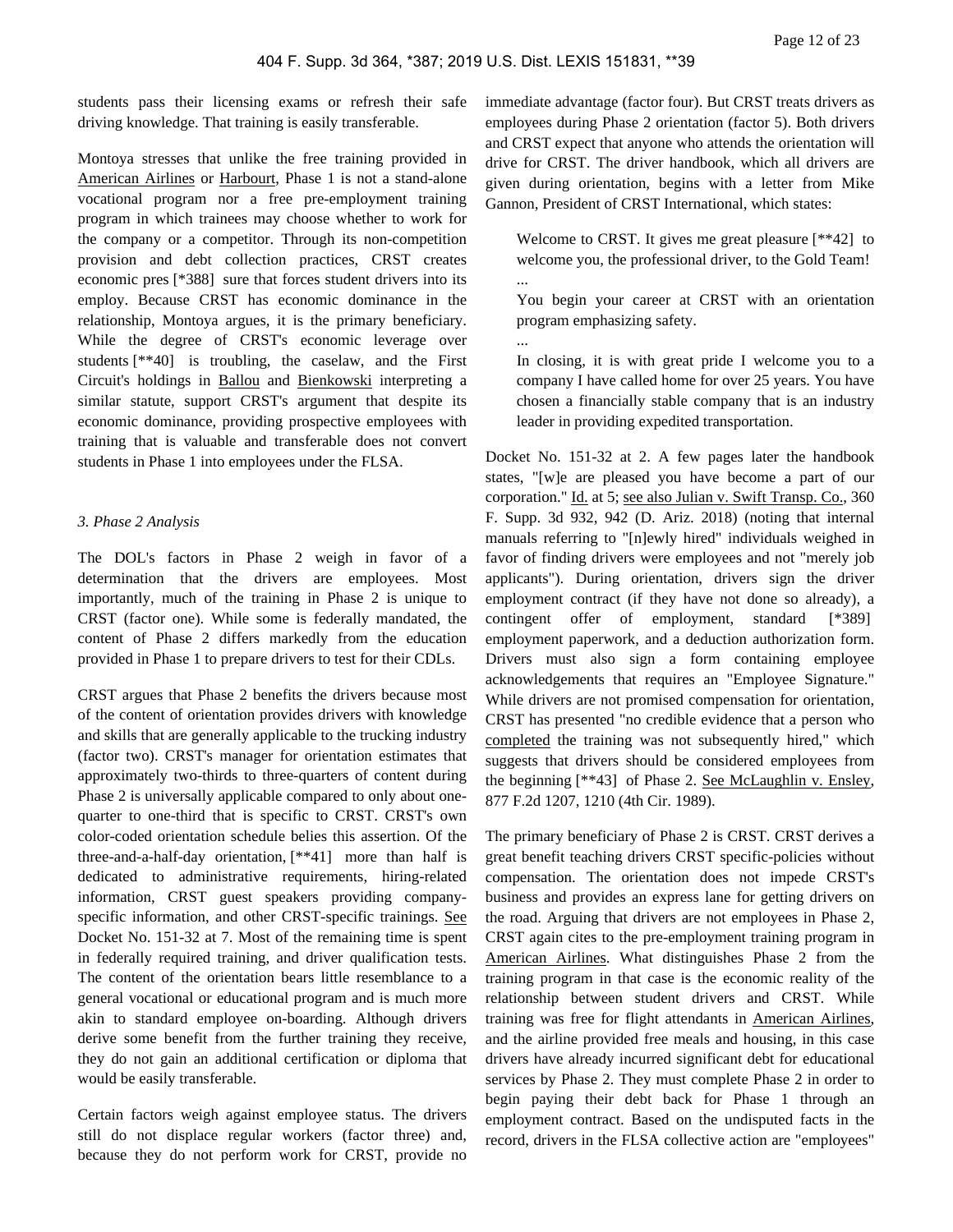students pass their licensing exams or refresh their safe driving knowledge. That training is easily transferable.

Montoya stresses that unlike the free training provided in American Airlines or Harbourt, Phase 1 is not a stand-alone vocational program nor a free pre-employment training program in which trainees may choose whether to work for the company or a competitor. Through its non-competition provision and debt collection practices, CRST creates economic pres [\*388] sure that forces student drivers into its employ. Because CRST has economic dominance in the relationship, Montoya argues, it is the primary beneficiary. While the degree of CRST's economic leverage over students [\*\*40] is troubling, the caselaw, and the First Circuit's holdings in Ballou and Bienkowski interpreting a similar statute, support CRST's argument that despite its economic dominance, providing prospective employees with training that is valuable and transferable does not convert students in Phase 1 into employees under the FLSA.

## *3. Phase 2 Analysis*

The DOL's factors in Phase 2 weigh in favor of a determination that the drivers are employees. Most importantly, much of the training in Phase 2 is unique to CRST (factor one). While some is federally mandated, the content of Phase 2 differs markedly from the education provided in Phase 1 to prepare drivers to test for their CDLs.

CRST argues that Phase 2 benefits the drivers because most of the content of orientation provides drivers with knowledge and skills that are generally applicable to the trucking industry (factor two). CRST's manager for orientation estimates that approximately two-thirds to three-quarters of content during Phase 2 is universally applicable compared to only about onequarter to one-third that is specific to CRST. CRST's own color-coded orientation schedule belies this assertion. Of the three-and-a-half-day orientation, [\*\*41] more than half is dedicated to administrative requirements, hiring-related information, CRST guest speakers providing companyspecific information, and other CRST-specific trainings. See Docket No. 151-32 at 7. Most of the remaining time is spent in federally required training, and driver qualification tests. The content of the orientation bears little resemblance to a general vocational or educational program and is much more akin to standard employee on-boarding. Although drivers derive some benefit from the further training they receive, they do not gain an additional certification or diploma that would be easily transferable.

Certain factors weigh against employee status. The drivers still do not displace regular workers (factor three) and, because they do not perform work for CRST, provide no

immediate advantage (factor four). But CRST treats drivers as employees during Phase 2 orientation (factor 5). Both drivers and CRST expect that anyone who attends the orientation will drive for CRST. The driver handbook, which all drivers are given during orientation, begins with a letter from Mike Gannon, President of CRST International, which states:

Welcome to CRST. It gives me great pleasure [\*\*42] to welcome you, the professional driver, to the Gold Team! ...

You begin your career at CRST with an orientation program emphasizing safety.

...

In closing, it is with great pride I welcome you to a company I have called home for over 25 years. You have chosen a financially stable company that is an industry leader in providing expedited transportation.

Docket No. 151-32 at 2. A few pages later the handbook states, "[w]e are pleased you have become a part of our corporation." Id. at 5; see also Julian v. Swift Transp. Co., 360 F. Supp. 3d 932, 942 (D. Ariz. 2018) (noting that internal manuals referring to "[n]ewly hired" individuals weighed in favor of finding drivers were employees and not "merely job applicants"). During orientation, drivers sign the driver employment contract (if they have not done so already), a contingent offer of employment, standard [\*389] employment paperwork, and a deduction authorization form. Drivers must also sign a form containing employee acknowledgements that requires an "Employee Signature." While drivers are not promised compensation for orientation, CRST has presented "no credible evidence that a person who completed the training was not subsequently hired," which suggests that drivers should be considered employees from the beginning [\*\*43] of Phase 2. See McLaughlin v. Ensley, 877 F.2d 1207, 1210 (4th Cir. 1989).

The primary beneficiary of Phase 2 is CRST. CRST derives a great benefit teaching drivers CRST specific-policies without compensation. The orientation does not impede CRST's business and provides an express lane for getting drivers on the road. Arguing that drivers are not employees in Phase 2, CRST again cites to the pre-employment training program in American Airlines. What distinguishes Phase 2 from the training program in that case is the economic reality of the relationship between student drivers and CRST. While training was free for flight attendants in American Airlines, and the airline provided free meals and housing, in this case drivers have already incurred significant debt for educational services by Phase 2. They must complete Phase 2 in order to begin paying their debt back for Phase 1 through an employment contract. Based on the undisputed facts in the record, drivers in the FLSA collective action are "employees"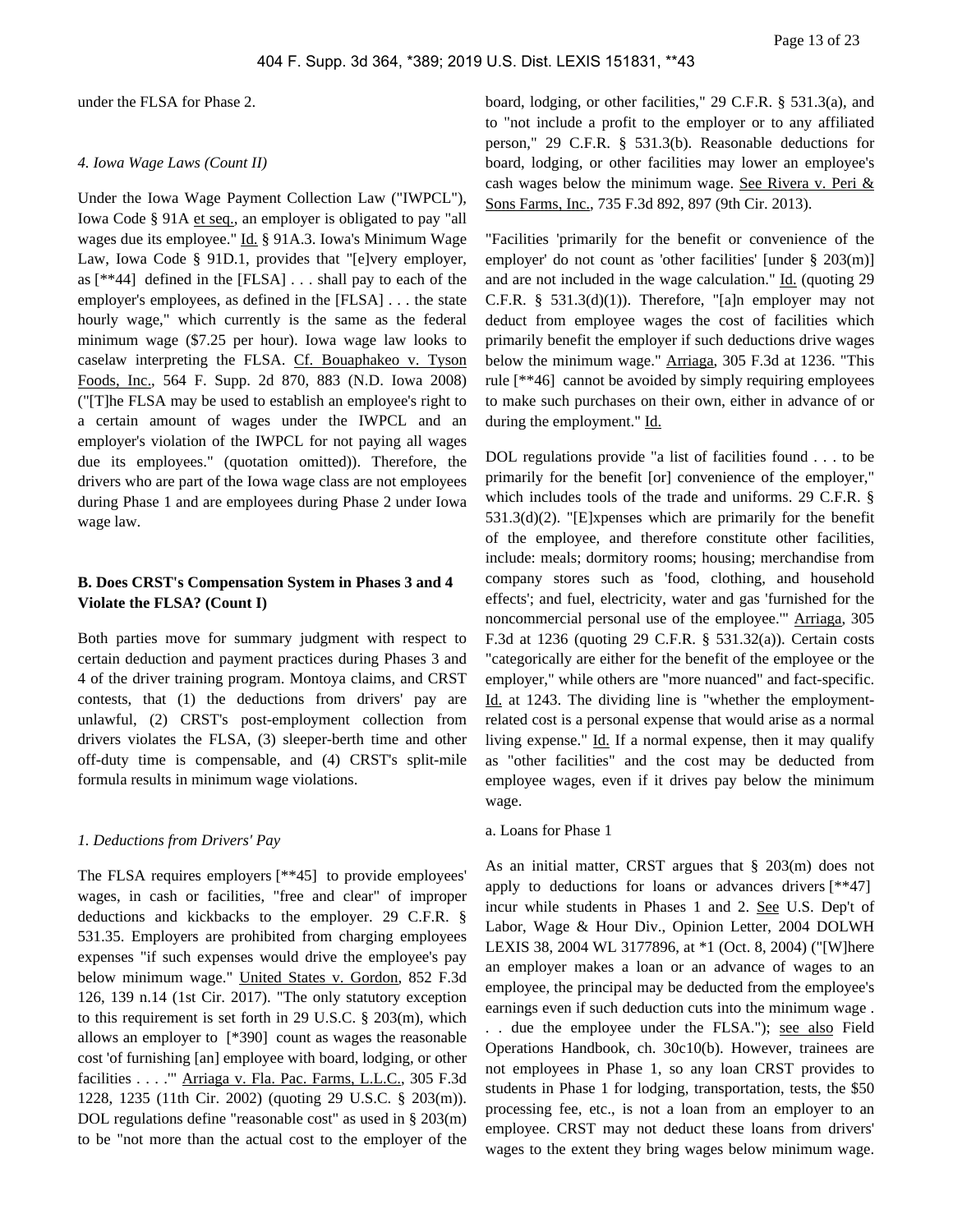under the FLSA for Phase 2.

#### *4. Iowa Wage Laws (Count II)*

Under the Iowa Wage Payment Collection Law ("IWPCL"), Iowa Code § 91A et seq., an employer is obligated to pay "all wages due its employee." Id. § 91A.3. Iowa's Minimum Wage Law, Iowa Code § 91D.1, provides that "[e]very employer, as [\*\*44] defined in the [FLSA] . . . shall pay to each of the employer's employees, as defined in the [FLSA] . . . the state hourly wage," which currently is the same as the federal minimum wage (\$7.25 per hour). Iowa wage law looks to caselaw interpreting the FLSA. Cf. Bouaphakeo v. Tyson Foods, Inc., 564 F. Supp. 2d 870, 883 (N.D. Iowa 2008) ("[T]he FLSA may be used to establish an employee's right to a certain amount of wages under the IWPCL and an employer's violation of the IWPCL for not paying all wages due its employees." (quotation omitted)). Therefore, the drivers who are part of the Iowa wage class are not employees during Phase 1 and are employees during Phase 2 under Iowa wage law.

# **B. Does CRST's Compensation System in Phases 3 and 4 Violate the FLSA? (Count I)**

Both parties move for summary judgment with respect to certain deduction and payment practices during Phases 3 and 4 of the driver training program. Montoya claims, and CRST contests, that (1) the deductions from drivers' pay are unlawful, (2) CRST's post-employment collection from drivers violates the FLSA, (3) sleeper-berth time and other off-duty time is compensable, and (4) CRST's split-mile formula results in minimum wage violations.

## *1. Deductions from Drivers' Pay*

The FLSA requires employers [\*\*45] to provide employees' wages, in cash or facilities, "free and clear" of improper deductions and kickbacks to the employer. 29 C.F.R. § 531.35. Employers are prohibited from charging employees expenses "if such expenses would drive the employee's pay below minimum wage." United States v. Gordon, 852 F.3d 126, 139 n.14 (1st Cir. 2017). "The only statutory exception to this requirement is set forth in 29 U.S.C. § 203(m), which allows an employer to [\*390] count as wages the reasonable cost 'of furnishing [an] employee with board, lodging, or other facilities . . . .'" Arriaga v. Fla. Pac. Farms, L.L.C., 305 F.3d 1228, 1235 (11th Cir. 2002) (quoting 29 U.S.C. § 203(m)). DOL regulations define "reasonable cost" as used in § 203(m) to be "not more than the actual cost to the employer of the board, lodging, or other facilities," 29 C.F.R. § 531.3(a), and to "not include a profit to the employer or to any affiliated person," 29 C.F.R. § 531.3(b). Reasonable deductions for board, lodging, or other facilities may lower an employee's cash wages below the minimum wage. See Rivera v. Peri & Sons Farms, Inc., 735 F.3d 892, 897 (9th Cir. 2013).

"Facilities 'primarily for the benefit or convenience of the employer' do not count as 'other facilities' [under § 203(m)] and are not included in the wage calculation." Id. (quoting 29 C.F.R. §  $531.3(d)(1)$ . Therefore, "[a]n employer may not deduct from employee wages the cost of facilities which primarily benefit the employer if such deductions drive wages below the minimum wage." Arriaga, 305 F.3d at 1236. "This rule [\*\*46] cannot be avoided by simply requiring employees to make such purchases on their own, either in advance of or during the employment." Id.

DOL regulations provide "a list of facilities found . . . to be primarily for the benefit [or] convenience of the employer," which includes tools of the trade and uniforms. 29 C.F.R. § 531.3(d)(2). "[E]xpenses which are primarily for the benefit of the employee, and therefore constitute other facilities, include: meals; dormitory rooms; housing; merchandise from company stores such as 'food, clothing, and household effects'; and fuel, electricity, water and gas 'furnished for the noncommercial personal use of the employee.'" Arriaga, 305 F.3d at 1236 (quoting 29 C.F.R. § 531.32(a)). Certain costs "categorically are either for the benefit of the employee or the employer," while others are "more nuanced" and fact-specific. Id. at 1243. The dividing line is "whether the employmentrelated cost is a personal expense that would arise as a normal living expense." Id. If a normal expense, then it may qualify as "other facilities" and the cost may be deducted from employee wages, even if it drives pay below the minimum wage.

#### a. Loans for Phase 1

As an initial matter, CRST argues that § 203(m) does not apply to deductions for loans or advances drivers [\*\*47] incur while students in Phases 1 and 2. See U.S. Dep't of Labor, Wage & Hour Div., Opinion Letter, 2004 DOLWH LEXIS 38, 2004 WL 3177896, at \*1 (Oct. 8, 2004) ("[W]here an employer makes a loan or an advance of wages to an employee, the principal may be deducted from the employee's earnings even if such deduction cuts into the minimum wage . . . due the employee under the FLSA."); see also Field Operations Handbook, ch. 30c10(b). However, trainees are not employees in Phase 1, so any loan CRST provides to students in Phase 1 for lodging, transportation, tests, the \$50 processing fee, etc., is not a loan from an employer to an employee. CRST may not deduct these loans from drivers' wages to the extent they bring wages below minimum wage.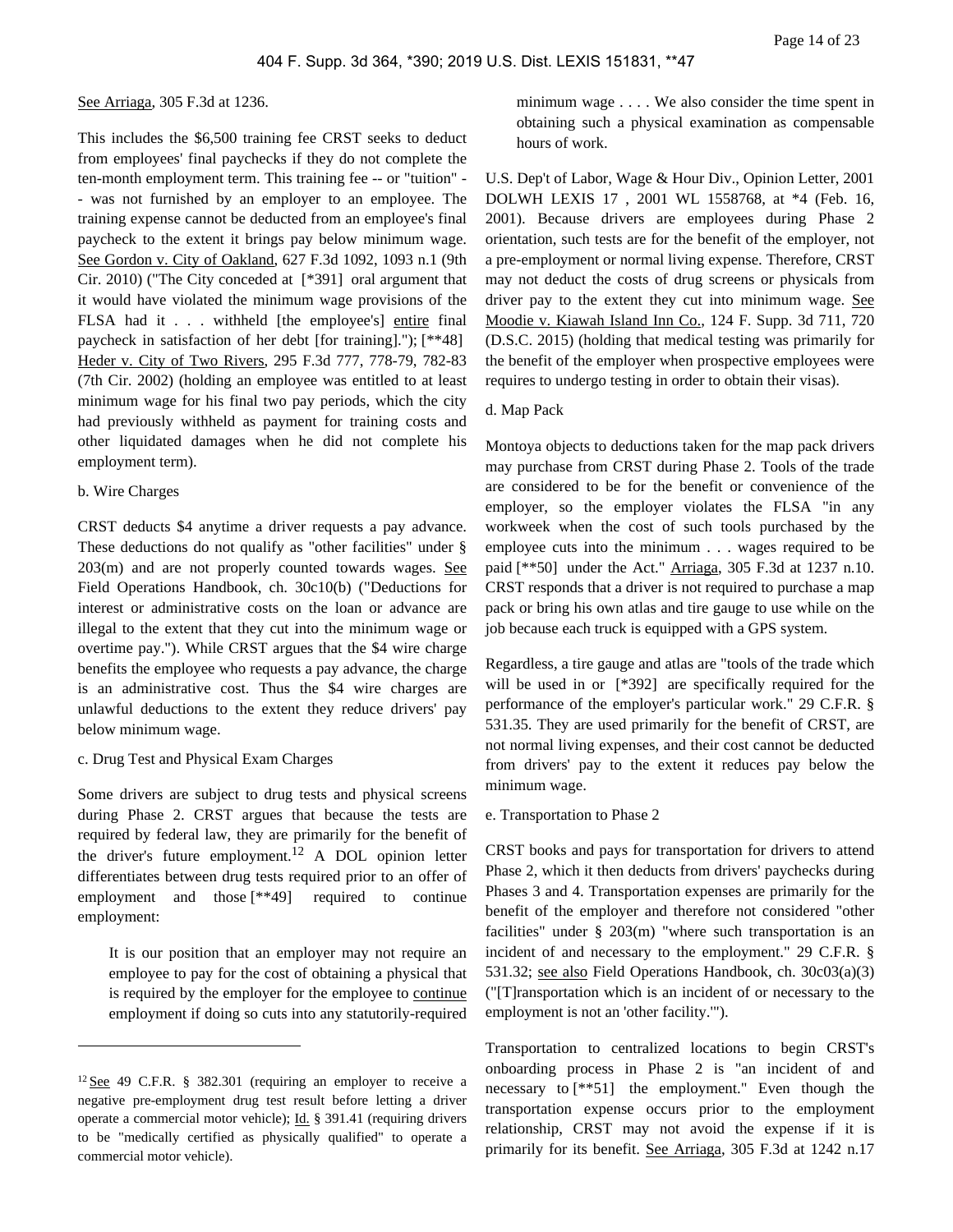#### See Arriaga, 305 F.3d at 1236.

This includes the \$6,500 training fee CRST seeks to deduct from employees' final paychecks if they do not complete the ten-month employment term. This training fee -- or "tuition" - - was not furnished by an employer to an employee. The training expense cannot be deducted from an employee's final paycheck to the extent it brings pay below minimum wage. See Gordon v. City of Oakland, 627 F.3d 1092, 1093 n.1 (9th Cir. 2010) ("The City conceded at [\*391] oral argument that it would have violated the minimum wage provisions of the FLSA had it . . . withheld [the employee's] entire final paycheck in satisfaction of her debt [for training]."); [\*\*48] Heder v. City of Two Rivers, 295 F.3d 777, 778-79, 782-83 (7th Cir. 2002) (holding an employee was entitled to at least minimum wage for his final two pay periods, which the city had previously withheld as payment for training costs and other liquidated damages when he did not complete his employment term).

#### b. Wire Charges

CRST deducts \$4 anytime a driver requests a pay advance. These deductions do not qualify as "other facilities" under § 203(m) and are not properly counted towards wages. See Field Operations Handbook, ch. 30c10(b) ("Deductions for interest or administrative costs on the loan or advance are illegal to the extent that they cut into the minimum wage or overtime pay."). While CRST argues that the \$4 wire charge benefits the employee who requests a pay advance, the charge is an administrative cost. Thus the \$4 wire charges are unlawful deductions to the extent they reduce drivers' pay below minimum wage.

#### c. Drug Test and Physical Exam Charges

Some drivers are subject to drug tests and physical screens during Phase 2. CRST argues that because the tests are required by federal law, they are primarily for the benefit of the driver's future employment.<sup>12</sup> A DOL opinion letter differentiates between drug tests required prior to an offer of employment and those [\*\*49] required to continue employment:

It is our position that an employer may not require an employee to pay for the cost of obtaining a physical that is required by the employer for the employee to continue employment if doing so cuts into any statutorily-required

minimum wage . . . . We also consider the time spent in obtaining such a physical examination as compensable hours of work.

U.S. Dep't of Labor, Wage & Hour Div., Opinion Letter, 2001 DOLWH LEXIS 17 , 2001 WL 1558768, at \*4 (Feb. 16, 2001). Because drivers are employees during Phase 2 orientation, such tests are for the benefit of the employer, not a pre-employment or normal living expense. Therefore, CRST may not deduct the costs of drug screens or physicals from driver pay to the extent they cut into minimum wage. See Moodie v. Kiawah Island Inn Co., 124 F. Supp. 3d 711, 720 (D.S.C. 2015) (holding that medical testing was primarily for the benefit of the employer when prospective employees were requires to undergo testing in order to obtain their visas).

# d. Map Pack

Montoya objects to deductions taken for the map pack drivers may purchase from CRST during Phase 2. Tools of the trade are considered to be for the benefit or convenience of the employer, so the employer violates the FLSA "in any workweek when the cost of such tools purchased by the employee cuts into the minimum . . . wages required to be paid [\*\*50] under the Act." Arriaga, 305 F.3d at 1237 n.10. CRST responds that a driver is not required to purchase a map pack or bring his own atlas and tire gauge to use while on the job because each truck is equipped with a GPS system.

Regardless, a tire gauge and atlas are "tools of the trade which will be used in or [\*392] are specifically required for the performance of the employer's particular work." 29 C.F.R. § 531.35. They are used primarily for the benefit of CRST, are not normal living expenses, and their cost cannot be deducted from drivers' pay to the extent it reduces pay below the minimum wage.

#### e. Transportation to Phase 2

CRST books and pays for transportation for drivers to attend Phase 2, which it then deducts from drivers' paychecks during Phases 3 and 4. Transportation expenses are primarily for the benefit of the employer and therefore not considered "other facilities" under § 203(m) "where such transportation is an incident of and necessary to the employment." 29 C.F.R. § 531.32; see also Field Operations Handbook, ch. 30c03(a)(3) ("[T]ransportation which is an incident of or necessary to the employment is not an 'other facility.'").

Transportation to centralized locations to begin CRST's onboarding process in Phase 2 is "an incident of and necessary to [\*\*51] the employment." Even though the transportation expense occurs prior to the employment relationship, CRST may not avoid the expense if it is primarily for its benefit. See Arriaga, 305 F.3d at 1242 n.17

 $12$  See 49 C.F.R. § 382.301 (requiring an employer to receive a negative pre-employment drug test result before letting a driver operate a commercial motor vehicle); Id. § 391.41 (requiring drivers to be "medically certified as physically qualified" to operate a commercial motor vehicle).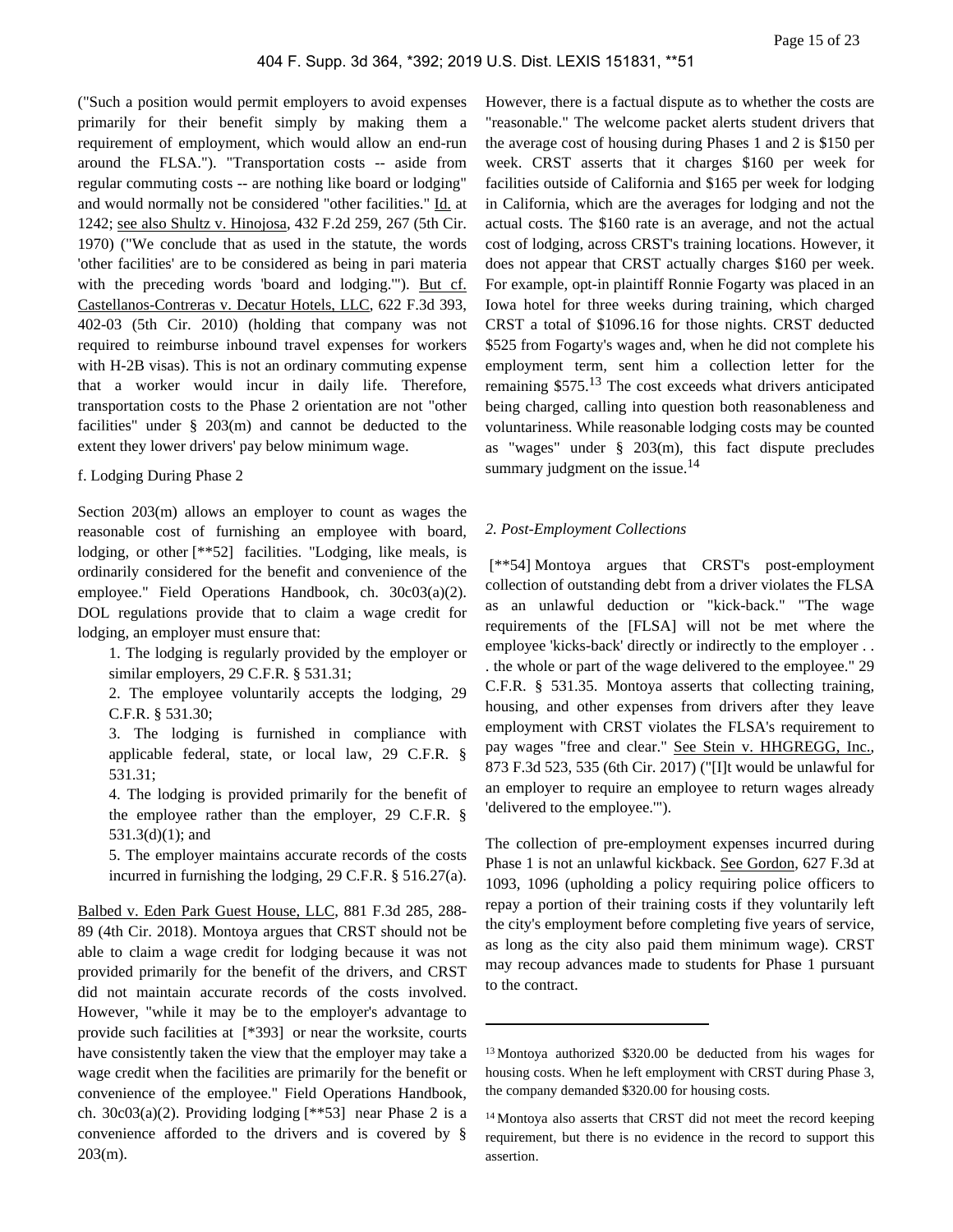("Such a position would permit employers to avoid expenses primarily for their benefit simply by making them a requirement of employment, which would allow an end-run around the FLSA."). "Transportation costs -- aside from regular commuting costs -- are nothing like board or lodging" and would normally not be considered "other facilities." Id. at 1242; see also Shultz v. Hinojosa, 432 F.2d 259, 267 (5th Cir. 1970) ("We conclude that as used in the statute, the words 'other facilities' are to be considered as being in pari materia with the preceding words 'board and lodging.'"). But cf. Castellanos-Contreras v. Decatur Hotels, LLC, 622 F.3d 393, 402-03 (5th Cir. 2010) (holding that company was not required to reimburse inbound travel expenses for workers with H-2B visas). This is not an ordinary commuting expense that a worker would incur in daily life. Therefore, transportation costs to the Phase 2 orientation are not "other facilities" under § 203(m) and cannot be deducted to the extent they lower drivers' pay below minimum wage.

## f. Lodging During Phase 2

Section 203(m) allows an employer to count as wages the reasonable cost of furnishing an employee with board, lodging, or other [\*\*52] facilities. "Lodging, like meals, is ordinarily considered for the benefit and convenience of the employee." Field Operations Handbook, ch. 30c03(a)(2). DOL regulations provide that to claim a wage credit for lodging, an employer must ensure that:

1. The lodging is regularly provided by the employer or similar employers, 29 C.F.R. § 531.31;

2. The employee voluntarily accepts the lodging, 29 C.F.R. § 531.30;

3. The lodging is furnished in compliance with applicable federal, state, or local law, 29 C.F.R. § 531.31;

4. The lodging is provided primarily for the benefit of the employee rather than the employer, 29 C.F.R. § 531.3(d)(1); and

5. The employer maintains accurate records of the costs incurred in furnishing the lodging, 29 C.F.R. § 516.27(a).

Balbed v. Eden Park Guest House, LLC, 881 F.3d 285, 288- 89 (4th Cir. 2018). Montoya argues that CRST should not be able to claim a wage credit for lodging because it was not provided primarily for the benefit of the drivers, and CRST did not maintain accurate records of the costs involved. However, "while it may be to the employer's advantage to provide such facilities at [\*393] or near the worksite, courts have consistently taken the view that the employer may take a wage credit when the facilities are primarily for the benefit or convenience of the employee." Field Operations Handbook, ch.  $30c03(a)(2)$ . Providing lodging [\*\*53] near Phase 2 is a convenience afforded to the drivers and is covered by § 203(m).

However, there is a factual dispute as to whether the costs are "reasonable." The welcome packet alerts student drivers that the average cost of housing during Phases 1 and 2 is \$150 per week. CRST asserts that it charges \$160 per week for facilities outside of California and \$165 per week for lodging in California, which are the averages for lodging and not the actual costs. The \$160 rate is an average, and not the actual cost of lodging, across CRST's training locations. However, it does not appear that CRST actually charges \$160 per week. For example, opt-in plaintiff Ronnie Fogarty was placed in an Iowa hotel for three weeks during training, which charged CRST a total of \$1096.16 for those nights. CRST deducted \$525 from Fogarty's wages and, when he did not complete his employment term, sent him a collection letter for the remaining \$575.<sup>13</sup> The cost exceeds what drivers anticipated being charged, calling into question both reasonableness and voluntariness. While reasonable lodging costs may be counted as "wages" under § 203(m), this fact dispute precludes summary judgment on the issue. $14$ 

#### *2. Post-Employment Collections*

 [\*\*54] Montoya argues that CRST's post-employment collection of outstanding debt from a driver violates the FLSA as an unlawful deduction or "kick-back." "The wage requirements of the [FLSA] will not be met where the employee 'kicks-back' directly or indirectly to the employer . . . the whole or part of the wage delivered to the employee." 29 C.F.R. § 531.35. Montoya asserts that collecting training, housing, and other expenses from drivers after they leave employment with CRST violates the FLSA's requirement to pay wages "free and clear." See Stein v. HHGREGG, Inc., 873 F.3d 523, 535 (6th Cir. 2017) ("[I]t would be unlawful for an employer to require an employee to return wages already 'delivered to the employee.'").

The collection of pre-employment expenses incurred during Phase 1 is not an unlawful kickback. See Gordon, 627 F.3d at 1093, 1096 (upholding a policy requiring police officers to repay a portion of their training costs if they voluntarily left the city's employment before completing five years of service, as long as the city also paid them minimum wage). CRST may recoup advances made to students for Phase 1 pursuant to the contract.

<sup>13</sup>Montoya authorized \$320.00 be deducted from his wages for housing costs. When he left employment with CRST during Phase 3, the company demanded \$320.00 for housing costs.

<sup>14</sup>Montoya also asserts that CRST did not meet the record keeping requirement, but there is no evidence in the record to support this assertion.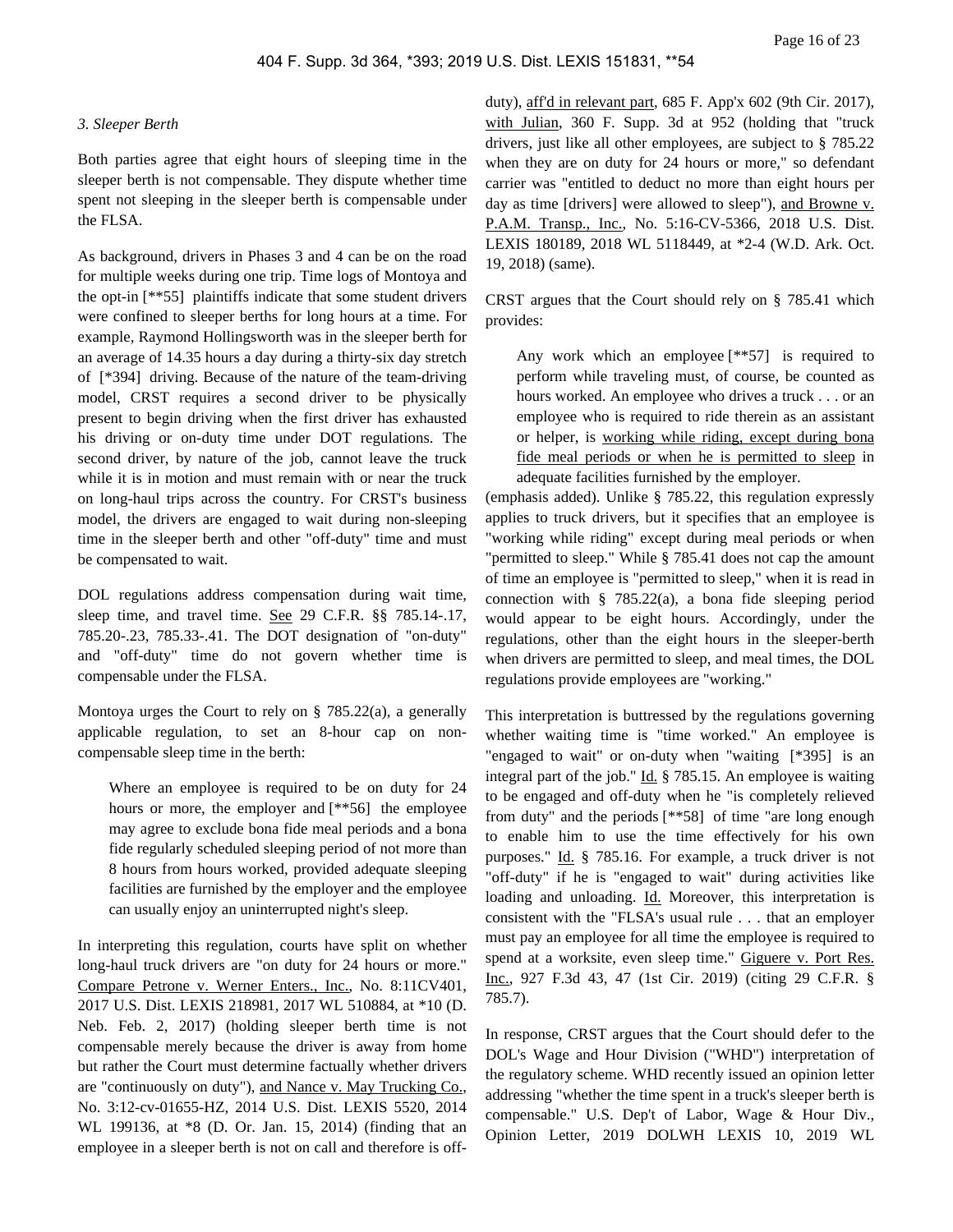#### *3. Sleeper Berth*

Both parties agree that eight hours of sleeping time in the sleeper berth is not compensable. They dispute whether time spent not sleeping in the sleeper berth is compensable under the FLSA.

As background, drivers in Phases 3 and 4 can be on the road for multiple weeks during one trip. Time logs of Montoya and the opt-in [\*\*55] plaintiffs indicate that some student drivers were confined to sleeper berths for long hours at a time. For example, Raymond Hollingsworth was in the sleeper berth for an average of 14.35 hours a day during a thirty-six day stretch of [\*394] driving. Because of the nature of the team-driving model, CRST requires a second driver to be physically present to begin driving when the first driver has exhausted his driving or on-duty time under DOT regulations. The second driver, by nature of the job, cannot leave the truck while it is in motion and must remain with or near the truck on long-haul trips across the country. For CRST's business model, the drivers are engaged to wait during non-sleeping time in the sleeper berth and other "off-duty" time and must be compensated to wait.

DOL regulations address compensation during wait time, sleep time, and travel time. See 29 C.F.R. §§ 785.14-.17, 785.20-.23, 785.33-.41. The DOT designation of "on-duty" and "off-duty" time do not govern whether time is compensable under the FLSA.

Montoya urges the Court to rely on § 785.22(a), a generally applicable regulation, to set an 8-hour cap on noncompensable sleep time in the berth:

Where an employee is required to be on duty for 24 hours or more, the employer and [\*\*56] the employee may agree to exclude bona fide meal periods and a bona fide regularly scheduled sleeping period of not more than 8 hours from hours worked, provided adequate sleeping facilities are furnished by the employer and the employee can usually enjoy an uninterrupted night's sleep.

In interpreting this regulation, courts have split on whether long-haul truck drivers are "on duty for 24 hours or more." Compare Petrone v. Werner Enters., Inc., No. 8:11CV401, 2017 U.S. Dist. LEXIS 218981, 2017 WL 510884, at \*10 (D. Neb. Feb. 2, 2017) (holding sleeper berth time is not compensable merely because the driver is away from home but rather the Court must determine factually whether drivers are "continuously on duty"), and Nance v. May Trucking Co., No. 3:12-cv-01655-HZ, 2014 U.S. Dist. LEXIS 5520, 2014 WL 199136, at \*8 (D. Or. Jan. 15, 2014) (finding that an employee in a sleeper berth is not on call and therefore is off-

duty), aff'd in relevant part, 685 F. App'x 602 (9th Cir. 2017), with Julian, 360 F. Supp. 3d at 952 (holding that "truck drivers, just like all other employees, are subject to § 785.22 when they are on duty for 24 hours or more," so defendant carrier was "entitled to deduct no more than eight hours per day as time [drivers] were allowed to sleep"), and Browne v. P.A.M. Transp., Inc., No. 5:16-CV-5366, 2018 U.S. Dist. LEXIS 180189, 2018 WL 5118449, at \*2-4 (W.D. Ark. Oct. 19, 2018) (same).

CRST argues that the Court should rely on § 785.41 which provides:

Any work which an employee [\*\*57] is required to perform while traveling must, of course, be counted as hours worked. An employee who drives a truck . . . or an employee who is required to ride therein as an assistant or helper, is working while riding, except during bona fide meal periods or when he is permitted to sleep in adequate facilities furnished by the employer.

(emphasis added). Unlike § 785.22, this regulation expressly applies to truck drivers, but it specifies that an employee is "working while riding" except during meal periods or when "permitted to sleep." While § 785.41 does not cap the amount of time an employee is "permitted to sleep," when it is read in connection with  $\S$  785.22(a), a bona fide sleeping period would appear to be eight hours. Accordingly, under the regulations, other than the eight hours in the sleeper-berth when drivers are permitted to sleep, and meal times, the DOL regulations provide employees are "working."

This interpretation is buttressed by the regulations governing whether waiting time is "time worked." An employee is "engaged to wait" or on-duty when "waiting [\*395] is an integral part of the job." Id. § 785.15. An employee is waiting to be engaged and off-duty when he "is completely relieved from duty" and the periods [\*\*58] of time "are long enough to enable him to use the time effectively for his own purposes." Id. § 785.16. For example, a truck driver is not "off-duty" if he is "engaged to wait" during activities like loading and unloading. Id. Moreover, this interpretation is consistent with the "FLSA's usual rule . . . that an employer must pay an employee for all time the employee is required to spend at a worksite, even sleep time." Giguere v. Port Res. Inc., 927 F.3d 43, 47 (1st Cir. 2019) (citing 29 C.F.R. § 785.7).

In response, CRST argues that the Court should defer to the DOL's Wage and Hour Division ("WHD") interpretation of the regulatory scheme. WHD recently issued an opinion letter addressing "whether the time spent in a truck's sleeper berth is compensable." U.S. Dep't of Labor, Wage & Hour Div., Opinion Letter, 2019 DOLWH LEXIS 10, 2019 WL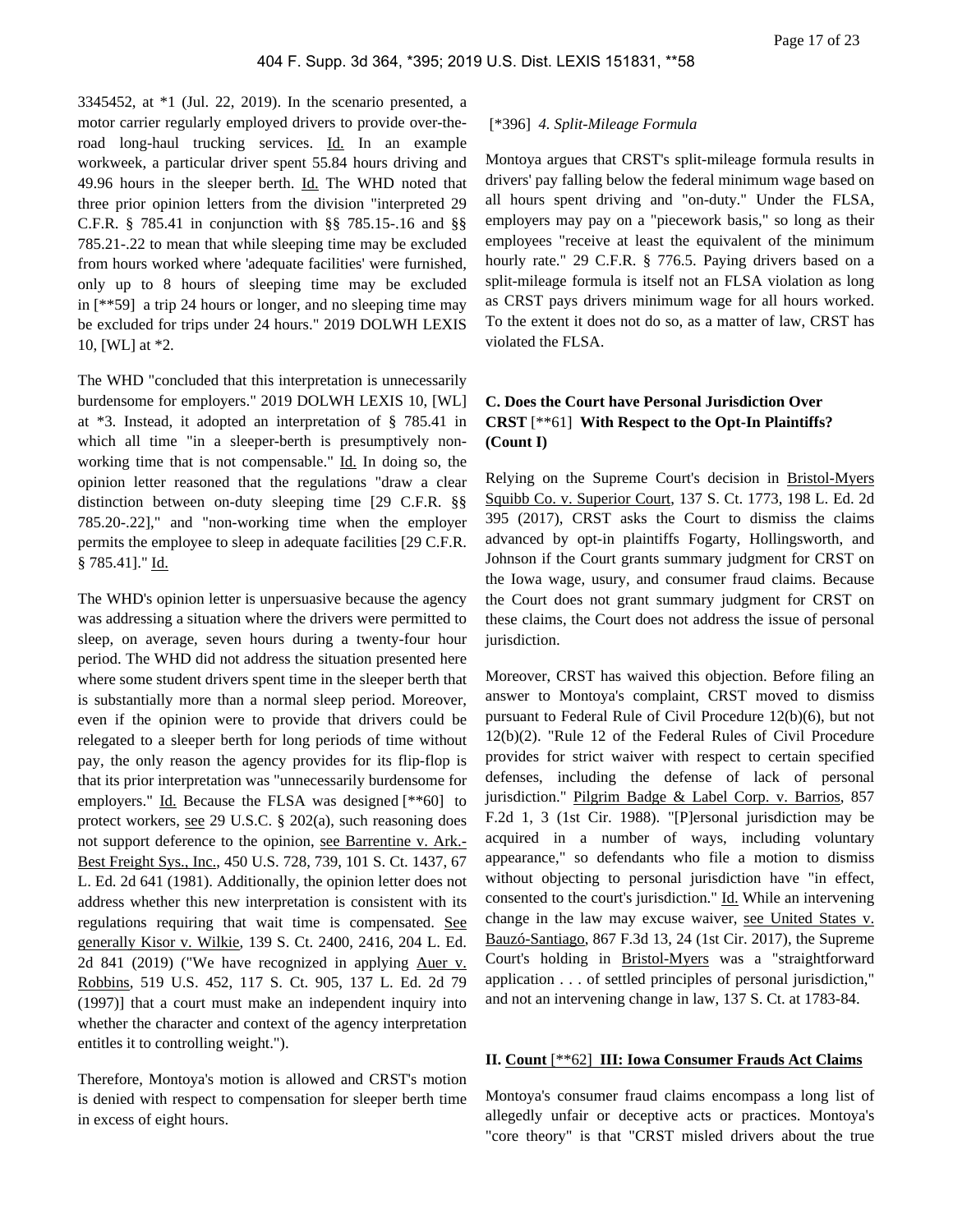3345452, at \*1 (Jul. 22, 2019). In the scenario presented, a motor carrier regularly employed drivers to provide over-theroad long-haul trucking services. Id. In an example workweek, a particular driver spent 55.84 hours driving and 49.96 hours in the sleeper berth. Id. The WHD noted that three prior opinion letters from the division "interpreted 29 C.F.R. § 785.41 in conjunction with §§ 785.15-.16 and §§ 785.21-.22 to mean that while sleeping time may be excluded from hours worked where 'adequate facilities' were furnished, only up to 8 hours of sleeping time may be excluded in [\*\*59] a trip 24 hours or longer, and no sleeping time may be excluded for trips under 24 hours." 2019 DOLWH LEXIS 10, [WL] at \*2.

The WHD "concluded that this interpretation is unnecessarily burdensome for employers." 2019 DOLWH LEXIS 10, [WL] at \*3. Instead, it adopted an interpretation of § 785.41 in which all time "in a sleeper-berth is presumptively nonworking time that is not compensable." Id. In doing so, the opinion letter reasoned that the regulations "draw a clear distinction between on-duty sleeping time [29 C.F.R. §§ 785.20-.22]," and "non-working time when the employer permits the employee to sleep in adequate facilities [29 C.F.R. § 785.41]." Id.

The WHD's opinion letter is unpersuasive because the agency was addressing a situation where the drivers were permitted to sleep, on average, seven hours during a twenty-four hour period. The WHD did not address the situation presented here where some student drivers spent time in the sleeper berth that is substantially more than a normal sleep period. Moreover, even if the opinion were to provide that drivers could be relegated to a sleeper berth for long periods of time without pay, the only reason the agency provides for its flip-flop is that its prior interpretation was "unnecessarily burdensome for employers." Id. Because the FLSA was designed [\*\*60] to protect workers, see 29 U.S.C. § 202(a), such reasoning does not support deference to the opinion, see Barrentine v. Ark.- Best Freight Sys., Inc., 450 U.S. 728, 739, 101 S. Ct. 1437, 67 L. Ed. 2d 641 (1981). Additionally, the opinion letter does not address whether this new interpretation is consistent with its regulations requiring that wait time is compensated. See generally Kisor v. Wilkie, 139 S. Ct. 2400, 2416, 204 L. Ed. 2d 841 (2019) ("We have recognized in applying Auer v. Robbins, 519 U.S. 452, 117 S. Ct. 905, 137 L. Ed. 2d 79 (1997)] that a court must make an independent inquiry into whether the character and context of the agency interpretation entitles it to controlling weight.").

Therefore, Montoya's motion is allowed and CRST's motion is denied with respect to compensation for sleeper berth time in excess of eight hours.

#### [\*396] *4. Split-Mileage Formula*

Montoya argues that CRST's split-mileage formula results in drivers' pay falling below the federal minimum wage based on all hours spent driving and "on-duty." Under the FLSA, employers may pay on a "piecework basis," so long as their employees "receive at least the equivalent of the minimum hourly rate." 29 C.F.R. § 776.5. Paying drivers based on a split-mileage formula is itself not an FLSA violation as long as CRST pays drivers minimum wage for all hours worked. To the extent it does not do so, as a matter of law, CRST has violated the FLSA.

# **C. Does the Court have Personal Jurisdiction Over CRST** [\*\*61] **With Respect to the Opt-In Plaintiffs? (Count I)**

Relying on the Supreme Court's decision in Bristol-Myers Squibb Co. v. Superior Court, 137 S. Ct. 1773, 198 L. Ed. 2d 395 (2017), CRST asks the Court to dismiss the claims advanced by opt-in plaintiffs Fogarty, Hollingsworth, and Johnson if the Court grants summary judgment for CRST on the Iowa wage, usury, and consumer fraud claims. Because the Court does not grant summary judgment for CRST on these claims, the Court does not address the issue of personal jurisdiction.

Moreover, CRST has waived this objection. Before filing an answer to Montoya's complaint, CRST moved to dismiss pursuant to Federal Rule of Civil Procedure 12(b)(6), but not 12(b)(2). "Rule 12 of the Federal Rules of Civil Procedure provides for strict waiver with respect to certain specified defenses, including the defense of lack of personal jurisdiction." Pilgrim Badge & Label Corp. v. Barrios, 857 F.2d 1, 3 (1st Cir. 1988). "[P]ersonal jurisdiction may be acquired in a number of ways, including voluntary appearance," so defendants who file a motion to dismiss without objecting to personal jurisdiction have "in effect, consented to the court's jurisdiction." Id. While an intervening change in the law may excuse waiver, see United States v. Bauzó-Santiago, 867 F.3d 13, 24 (1st Cir. 2017), the Supreme Court's holding in Bristol-Myers was a "straightforward application . . . of settled principles of personal jurisdiction," and not an intervening change in law, 137 S. Ct. at 1783-84.

## **II. Count** [\*\*62] **III: Iowa Consumer Frauds Act Claims**

Montoya's consumer fraud claims encompass a long list of allegedly unfair or deceptive acts or practices. Montoya's "core theory" is that "CRST misled drivers about the true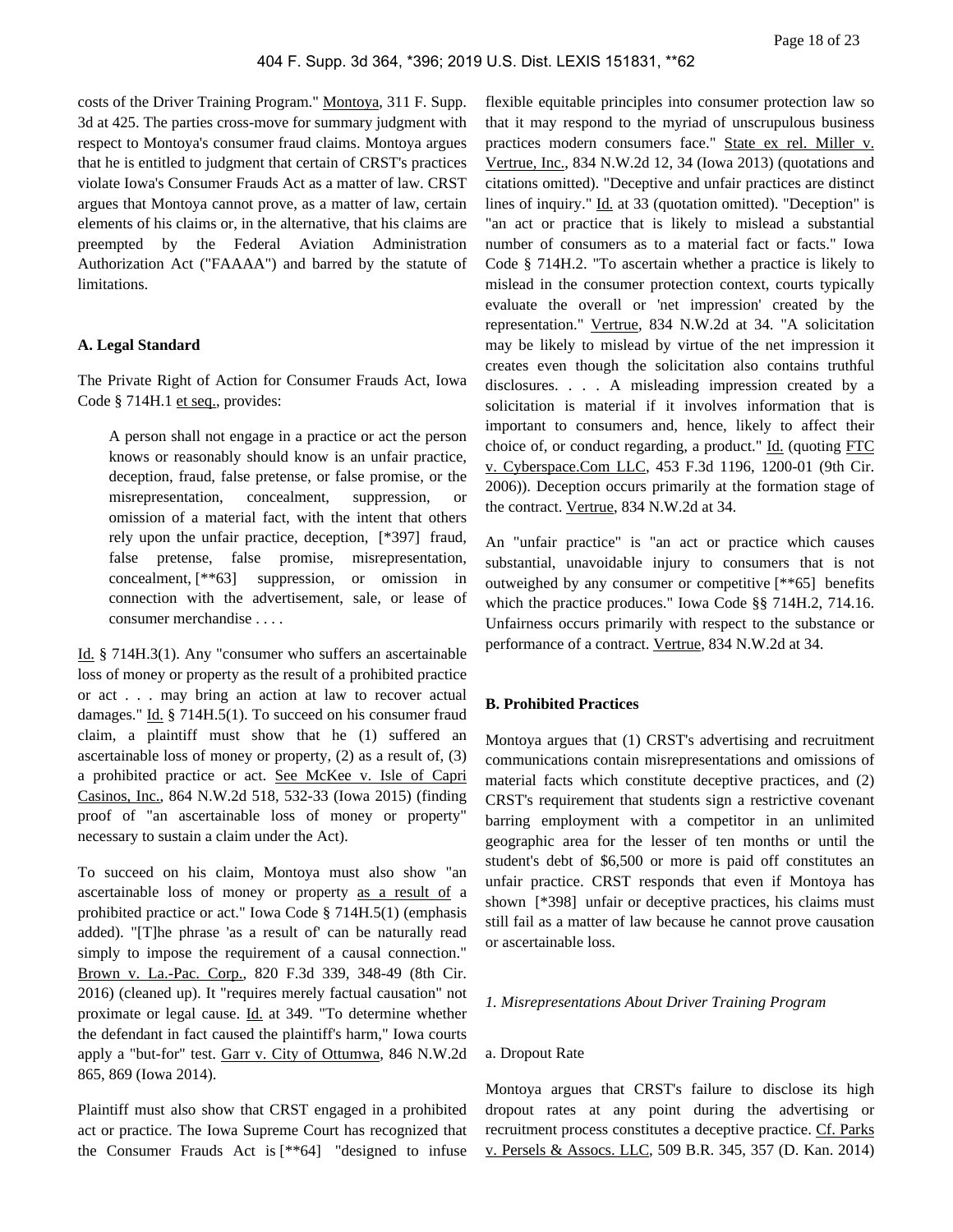costs of the Driver Training Program." Montoya, 311 F. Supp. 3d at 425. The parties cross-move for summary judgment with respect to Montoya's consumer fraud claims. Montoya argues that he is entitled to judgment that certain of CRST's practices violate Iowa's Consumer Frauds Act as a matter of law. CRST argues that Montoya cannot prove, as a matter of law, certain elements of his claims or, in the alternative, that his claims are preempted by the Federal Aviation Administration Authorization Act ("FAAAA") and barred by the statute of limitations.

#### **A. Legal Standard**

The Private Right of Action for Consumer Frauds Act, Iowa Code § 714H.1 et seq., provides:

A person shall not engage in a practice or act the person knows or reasonably should know is an unfair practice, deception, fraud, false pretense, or false promise, or the misrepresentation, concealment, suppression, or omission of a material fact, with the intent that others rely upon the unfair practice, deception, [\*397] fraud, false pretense, false promise, misrepresentation, concealment, [\*\*63] suppression, or omission in connection with the advertisement, sale, or lease of consumer merchandise . . . .

Id. § 714H.3(1). Any "consumer who suffers an ascertainable loss of money or property as the result of a prohibited practice or act . . . may bring an action at law to recover actual damages." Id. § 714H.5(1). To succeed on his consumer fraud claim, a plaintiff must show that he (1) suffered an ascertainable loss of money or property, (2) as a result of, (3) a prohibited practice or act. See McKee v. Isle of Capri Casinos, Inc., 864 N.W.2d 518, 532-33 (Iowa 2015) (finding proof of "an ascertainable loss of money or property" necessary to sustain a claim under the Act).

To succeed on his claim, Montoya must also show "an ascertainable loss of money or property as a result of a prohibited practice or act." Iowa Code § 714H.5(1) (emphasis added). "[T]he phrase 'as a result of' can be naturally read simply to impose the requirement of a causal connection." Brown v. La.-Pac. Corp., 820 F.3d 339, 348-49 (8th Cir. 2016) (cleaned up). It "requires merely factual causation" not proximate or legal cause. Id. at 349. "To determine whether the defendant in fact caused the plaintiff's harm," Iowa courts apply a "but-for" test. Garr v. City of Ottumwa, 846 N.W.2d 865, 869 (Iowa 2014).

Plaintiff must also show that CRST engaged in a prohibited act or practice. The Iowa Supreme Court has recognized that the Consumer Frauds Act is [\*\*64] "designed to infuse

flexible equitable principles into consumer protection law so that it may respond to the myriad of unscrupulous business practices modern consumers face." State ex rel. Miller v. Vertrue, Inc., 834 N.W.2d 12, 34 (Iowa 2013) (quotations and citations omitted). "Deceptive and unfair practices are distinct lines of inquiry." Id. at 33 (quotation omitted). "Deception" is "an act or practice that is likely to mislead a substantial number of consumers as to a material fact or facts." Iowa Code § 714H.2. "To ascertain whether a practice is likely to mislead in the consumer protection context, courts typically evaluate the overall or 'net impression' created by the representation." Vertrue, 834 N.W.2d at 34. "A solicitation may be likely to mislead by virtue of the net impression it creates even though the solicitation also contains truthful disclosures. . . . A misleading impression created by a solicitation is material if it involves information that is important to consumers and, hence, likely to affect their choice of, or conduct regarding, a product." Id. (quoting FTC v. Cyberspace.Com LLC, 453 F.3d 1196, 1200-01 (9th Cir. 2006)). Deception occurs primarily at the formation stage of the contract. Vertrue, 834 N.W.2d at 34.

An "unfair practice" is "an act or practice which causes substantial, unavoidable injury to consumers that is not outweighed by any consumer or competitive [\*\*65] benefits which the practice produces." Iowa Code §§ 714H.2, 714.16. Unfairness occurs primarily with respect to the substance or performance of a contract. Vertrue, 834 N.W.2d at 34.

#### **B. Prohibited Practices**

Montoya argues that (1) CRST's advertising and recruitment communications contain misrepresentations and omissions of material facts which constitute deceptive practices, and (2) CRST's requirement that students sign a restrictive covenant barring employment with a competitor in an unlimited geographic area for the lesser of ten months or until the student's debt of \$6,500 or more is paid off constitutes an unfair practice. CRST responds that even if Montoya has shown [\*398] unfair or deceptive practices, his claims must still fail as a matter of law because he cannot prove causation or ascertainable loss.

#### *1. Misrepresentations About Driver Training Program*

#### a. Dropout Rate

Montoya argues that CRST's failure to disclose its high dropout rates at any point during the advertising or recruitment process constitutes a deceptive practice. Cf. Parks v. Persels & Assocs. LLC, 509 B.R. 345, 357 (D. Kan. 2014)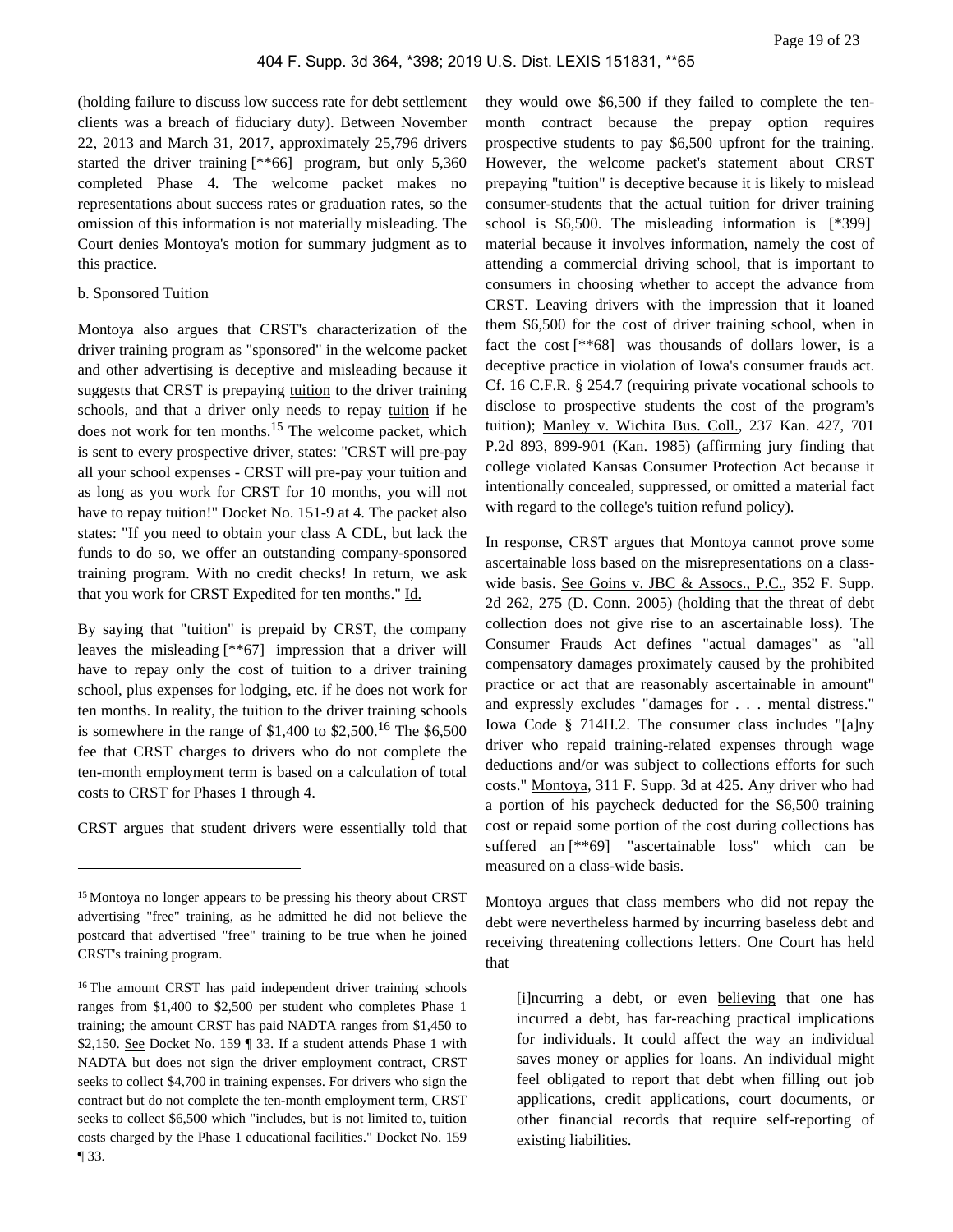(holding failure to discuss low success rate for debt settlement clients was a breach of fiduciary duty). Between November 22, 2013 and March 31, 2017, approximately 25,796 drivers started the driver training [\*\*66] program, but only 5,360 completed Phase 4. The welcome packet makes no representations about success rates or graduation rates, so the omission of this information is not materially misleading. The Court denies Montoya's motion for summary judgment as to this practice.

## b. Sponsored Tuition

Montoya also argues that CRST's characterization of the driver training program as "sponsored" in the welcome packet and other advertising is deceptive and misleading because it suggests that CRST is prepaying tuition to the driver training schools, and that a driver only needs to repay tuition if he does not work for ten months.<sup>15</sup> The welcome packet, which is sent to every prospective driver, states: "CRST will pre-pay all your school expenses - CRST will pre-pay your tuition and as long as you work for CRST for 10 months, you will not have to repay tuition!" Docket No. 151-9 at 4. The packet also states: "If you need to obtain your class A CDL, but lack the funds to do so, we offer an outstanding company-sponsored training program. With no credit checks! In return, we ask that you work for CRST Expedited for ten months." Id.

By saying that "tuition" is prepaid by CRST, the company leaves the misleading [\*\*67] impression that a driver will have to repay only the cost of tuition to a driver training school, plus expenses for lodging, etc. if he does not work for ten months. In reality, the tuition to the driver training schools is somewhere in the range of \$1,400 to \$2,500.<sup>16</sup> The \$6,500 fee that CRST charges to drivers who do not complete the ten-month employment term is based on a calculation of total costs to CRST for Phases 1 through 4.

CRST argues that student drivers were essentially told that

they would owe \$6,500 if they failed to complete the tenmonth contract because the prepay option requires prospective students to pay \$6,500 upfront for the training. However, the welcome packet's statement about CRST prepaying "tuition" is deceptive because it is likely to mislead consumer-students that the actual tuition for driver training school is \$6,500. The misleading information is [\*399] material because it involves information, namely the cost of attending a commercial driving school, that is important to consumers in choosing whether to accept the advance from CRST. Leaving drivers with the impression that it loaned them \$6,500 for the cost of driver training school, when in fact the cost [\*\*68] was thousands of dollars lower, is a deceptive practice in violation of Iowa's consumer frauds act. Cf. 16 C.F.R. § 254.7 (requiring private vocational schools to disclose to prospective students the cost of the program's tuition); Manley v. Wichita Bus. Coll., 237 Kan. 427, 701 P.2d 893, 899-901 (Kan. 1985) (affirming jury finding that college violated Kansas Consumer Protection Act because it intentionally concealed, suppressed, or omitted a material fact with regard to the college's tuition refund policy).

In response, CRST argues that Montoya cannot prove some ascertainable loss based on the misrepresentations on a classwide basis. See Goins v. JBC & Assocs., P.C., 352 F. Supp. 2d 262, 275 (D. Conn. 2005) (holding that the threat of debt collection does not give rise to an ascertainable loss). The Consumer Frauds Act defines "actual damages" as "all compensatory damages proximately caused by the prohibited practice or act that are reasonably ascertainable in amount" and expressly excludes "damages for . . . mental distress." Iowa Code § 714H.2. The consumer class includes "[a]ny driver who repaid training-related expenses through wage deductions and/or was subject to collections efforts for such costs." Montoya, 311 F. Supp. 3d at 425. Any driver who had a portion of his paycheck deducted for the \$6,500 training cost or repaid some portion of the cost during collections has suffered an [\*\*69] "ascertainable loss" which can be measured on a class-wide basis.

Montoya argues that class members who did not repay the debt were nevertheless harmed by incurring baseless debt and receiving threatening collections letters. One Court has held that

[i]ncurring a debt, or even believing that one has incurred a debt, has far-reaching practical implications for individuals. It could affect the way an individual saves money or applies for loans. An individual might feel obligated to report that debt when filling out job applications, credit applications, court documents, or other financial records that require self-reporting of existing liabilities.

<sup>15</sup>Montoya no longer appears to be pressing his theory about CRST advertising "free" training, as he admitted he did not believe the postcard that advertised "free" training to be true when he joined CRST's training program.

<sup>&</sup>lt;sup>16</sup>The amount CRST has paid independent driver training schools ranges from \$1,400 to \$2,500 per student who completes Phase 1 training; the amount CRST has paid NADTA ranges from \$1,450 to \$2,150. <u>See</u> Docket No. 159 | 33. If a student attends Phase 1 with NADTA but does not sign the driver employment contract, CRST seeks to collect \$4,700 in training expenses. For drivers who sign the contract but do not complete the ten-month employment term, CRST seeks to collect \$6,500 which "includes, but is not limited to, tuition costs charged by the Phase 1 educational facilities." Docket No. 159 ¶ 33.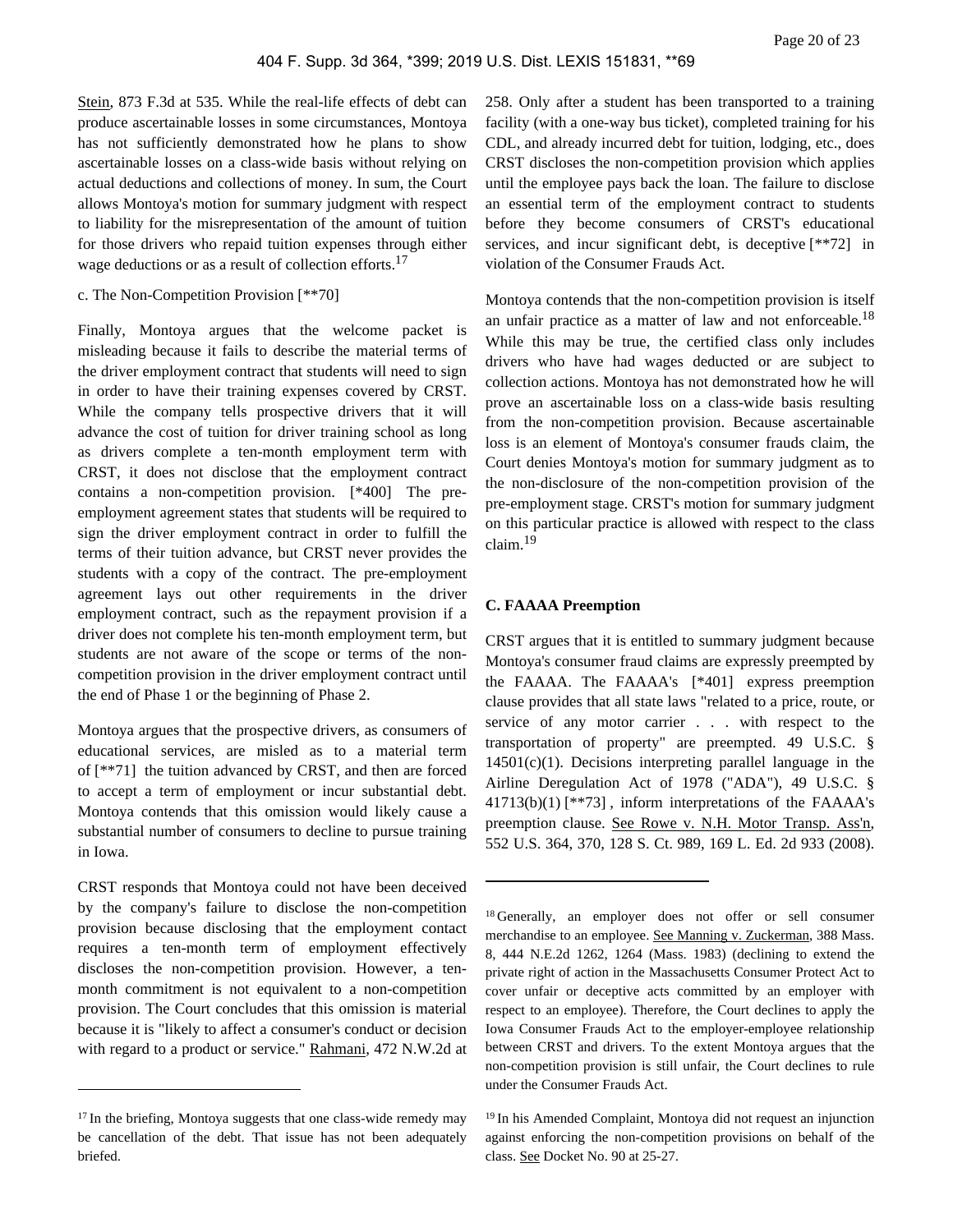Stein, 873 F.3d at 535. While the real-life effects of debt can produce ascertainable losses in some circumstances, Montoya has not sufficiently demonstrated how he plans to show ascertainable losses on a class-wide basis without relying on actual deductions and collections of money. In sum, the Court allows Montoya's motion for summary judgment with respect to liability for the misrepresentation of the amount of tuition for those drivers who repaid tuition expenses through either wage deductions or as a result of collection efforts.<sup>17</sup>

# c. The Non-Competition Provision [\*\*70]

Finally, Montoya argues that the welcome packet is misleading because it fails to describe the material terms of the driver employment contract that students will need to sign in order to have their training expenses covered by CRST. While the company tells prospective drivers that it will advance the cost of tuition for driver training school as long as drivers complete a ten-month employment term with CRST, it does not disclose that the employment contract contains a non-competition provision. [\*400] The preemployment agreement states that students will be required to sign the driver employment contract in order to fulfill the terms of their tuition advance, but CRST never provides the students with a copy of the contract. The pre-employment agreement lays out other requirements in the driver employment contract, such as the repayment provision if a driver does not complete his ten-month employment term, but students are not aware of the scope or terms of the noncompetition provision in the driver employment contract until the end of Phase 1 or the beginning of Phase 2.

Montoya argues that the prospective drivers, as consumers of educational services, are misled as to a material term of [\*\*71] the tuition advanced by CRST, and then are forced to accept a term of employment or incur substantial debt. Montoya contends that this omission would likely cause a substantial number of consumers to decline to pursue training in Iowa.

CRST responds that Montoya could not have been deceived by the company's failure to disclose the non-competition provision because disclosing that the employment contact requires a ten-month term of employment effectively discloses the non-competition provision. However, a tenmonth commitment is not equivalent to a non-competition provision. The Court concludes that this omission is material because it is "likely to affect a consumer's conduct or decision with regard to a product or service." Rahmani, 472 N.W.2d at

258. Only after a student has been transported to a training facility (with a one-way bus ticket), completed training for his CDL, and already incurred debt for tuition, lodging, etc., does CRST discloses the non-competition provision which applies until the employee pays back the loan. The failure to disclose an essential term of the employment contract to students before they become consumers of CRST's educational services, and incur significant debt, is deceptive [\*\*72] in violation of the Consumer Frauds Act.

Montoya contends that the non-competition provision is itself an unfair practice as a matter of law and not enforceable.<sup>18</sup> While this may be true, the certified class only includes drivers who have had wages deducted or are subject to collection actions. Montoya has not demonstrated how he will prove an ascertainable loss on a class-wide basis resulting from the non-competition provision. Because ascertainable loss is an element of Montoya's consumer frauds claim, the Court denies Montoya's motion for summary judgment as to the non-disclosure of the non-competition provision of the pre-employment stage. CRST's motion for summary judgment on this particular practice is allowed with respect to the class claim.<sup>19</sup>

# **C. FAAAA Preemption**

CRST argues that it is entitled to summary judgment because Montoya's consumer fraud claims are expressly preempted by the FAAAA. The FAAAA's [\*401] express preemption clause provides that all state laws "related to a price, route, or service of any motor carrier . . . with respect to the transportation of property" are preempted. 49 U.S.C. §  $14501(c)(1)$ . Decisions interpreting parallel language in the Airline Deregulation Act of 1978 ("ADA"), 49 U.S.C. § 41713(b)(1) [\*\*73] , inform interpretations of the FAAAA's preemption clause. See Rowe v. N.H. Motor Transp. Ass'n, 552 U.S. 364, 370, 128 S. Ct. 989, 169 L. Ed. 2d 933 (2008).

<sup>&</sup>lt;sup>17</sup> In the briefing, Montoya suggests that one class-wide remedy may be cancellation of the debt. That issue has not been adequately briefed.

<sup>18</sup>Generally, an employer does not offer or sell consumer merchandise to an employee. See Manning v. Zuckerman, 388 Mass. 8, 444 N.E.2d 1262, 1264 (Mass. 1983) (declining to extend the private right of action in the Massachusetts Consumer Protect Act to cover unfair or deceptive acts committed by an employer with respect to an employee). Therefore, the Court declines to apply the Iowa Consumer Frauds Act to the employer-employee relationship between CRST and drivers. To the extent Montoya argues that the non-competition provision is still unfair, the Court declines to rule under the Consumer Frauds Act.

<sup>&</sup>lt;sup>19</sup> In his Amended Complaint, Montoya did not request an injunction against enforcing the non-competition provisions on behalf of the class. See Docket No. 90 at 25-27.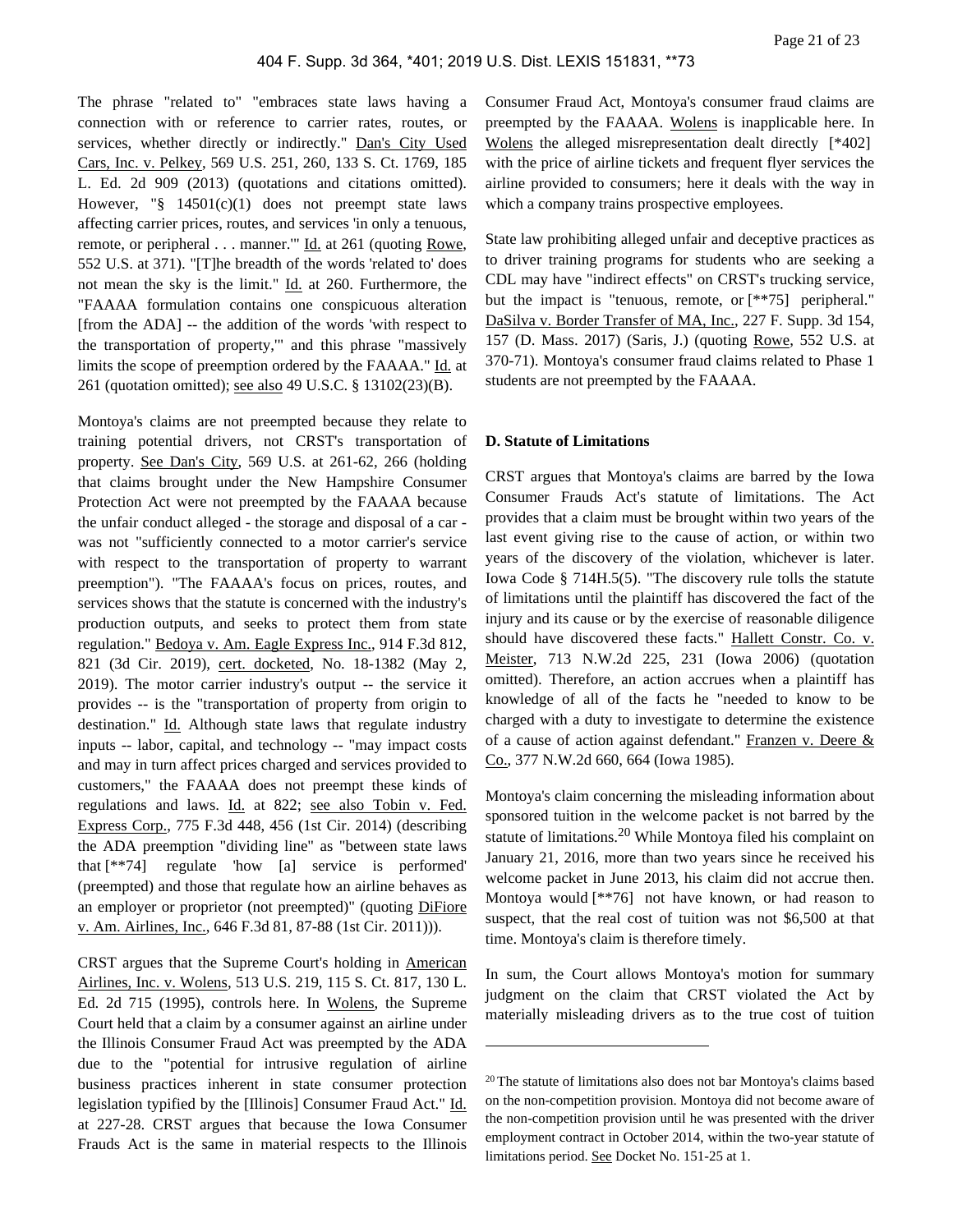The phrase "related to" "embraces state laws having a connection with or reference to carrier rates, routes, or services, whether directly or indirectly." Dan's City Used Cars, Inc. v. Pelkey, 569 U.S. 251, 260, 133 S. Ct. 1769, 185 L. Ed. 2d 909 (2013) (quotations and citations omitted). However, "§ 14501(c)(1) does not preempt state laws affecting carrier prices, routes, and services 'in only a tenuous, remote, or peripheral . . . manner.'" Id. at 261 (quoting Rowe, 552 U.S. at 371). "[T]he breadth of the words 'related to' does not mean the sky is the limit." Id. at 260. Furthermore, the "FAAAA formulation contains one conspicuous alteration [from the ADA] -- the addition of the words 'with respect to the transportation of property,'" and this phrase "massively limits the scope of preemption ordered by the FAAAA." Id. at 261 (quotation omitted); see also 49 U.S.C. § 13102(23)(B).

Montoya's claims are not preempted because they relate to training potential drivers, not CRST's transportation of property. See Dan's City, 569 U.S. at 261-62, 266 (holding that claims brought under the New Hampshire Consumer Protection Act were not preempted by the FAAAA because the unfair conduct alleged - the storage and disposal of a car was not "sufficiently connected to a motor carrier's service with respect to the transportation of property to warrant preemption"). "The FAAAA's focus on prices, routes, and services shows that the statute is concerned with the industry's production outputs, and seeks to protect them from state regulation." Bedoya v. Am. Eagle Express Inc., 914 F.3d 812, 821 (3d Cir. 2019), cert. docketed, No. 18-1382 (May 2, 2019). The motor carrier industry's output -- the service it provides -- is the "transportation of property from origin to destination." Id. Although state laws that regulate industry inputs -- labor, capital, and technology -- "may impact costs and may in turn affect prices charged and services provided to customers," the FAAAA does not preempt these kinds of regulations and laws. Id. at 822; see also Tobin v. Fed. Express Corp., 775 F.3d 448, 456 (1st Cir. 2014) (describing the ADA preemption "dividing line" as "between state laws that [\*\*74] regulate 'how [a] service is performed' (preempted) and those that regulate how an airline behaves as an employer or proprietor (not preempted)" (quoting DiFiore v. Am. Airlines, Inc., 646 F.3d 81, 87-88 (1st Cir. 2011))).

CRST argues that the Supreme Court's holding in American Airlines, Inc. v. Wolens, 513 U.S. 219, 115 S. Ct. 817, 130 L. Ed. 2d 715 (1995), controls here. In Wolens, the Supreme Court held that a claim by a consumer against an airline under the Illinois Consumer Fraud Act was preempted by the ADA due to the "potential for intrusive regulation of airline business practices inherent in state consumer protection legislation typified by the [Illinois] Consumer Fraud Act." Id. at 227-28. CRST argues that because the Iowa Consumer Frauds Act is the same in material respects to the Illinois

Consumer Fraud Act, Montoya's consumer fraud claims are preempted by the FAAAA. Wolens is inapplicable here. In Wolens the alleged misrepresentation dealt directly [\*402] with the price of airline tickets and frequent flyer services the airline provided to consumers; here it deals with the way in which a company trains prospective employees.

State law prohibiting alleged unfair and deceptive practices as to driver training programs for students who are seeking a CDL may have "indirect effects" on CRST's trucking service, but the impact is "tenuous, remote, or [\*\*75] peripheral." DaSilva v. Border Transfer of MA, Inc., 227 F. Supp. 3d 154, 157 (D. Mass. 2017) (Saris, J.) (quoting Rowe, 552 U.S. at 370-71). Montoya's consumer fraud claims related to Phase 1 students are not preempted by the FAAAA.

#### **D. Statute of Limitations**

CRST argues that Montoya's claims are barred by the Iowa Consumer Frauds Act's statute of limitations. The Act provides that a claim must be brought within two years of the last event giving rise to the cause of action, or within two years of the discovery of the violation, whichever is later. Iowa Code § 714H.5(5). "The discovery rule tolls the statute of limitations until the plaintiff has discovered the fact of the injury and its cause or by the exercise of reasonable diligence should have discovered these facts." Hallett Constr. Co. v. Meister, 713 N.W.2d 225, 231 (Iowa 2006) (quotation omitted). Therefore, an action accrues when a plaintiff has knowledge of all of the facts he "needed to know to be charged with a duty to investigate to determine the existence of a cause of action against defendant." Franzen v. Deere & Co., 377 N.W.2d 660, 664 (Iowa 1985).

Montoya's claim concerning the misleading information about sponsored tuition in the welcome packet is not barred by the statute of limitations.<sup>20</sup> While Montoya filed his complaint on January 21, 2016, more than two years since he received his welcome packet in June 2013, his claim did not accrue then. Montoya would [\*\*76] not have known, or had reason to suspect, that the real cost of tuition was not \$6,500 at that time. Montoya's claim is therefore timely.

In sum, the Court allows Montoya's motion for summary judgment on the claim that CRST violated the Act by materially misleading drivers as to the true cost of tuition

<sup>20</sup>The statute of limitations also does not bar Montoya's claims based on the non-competition provision. Montoya did not become aware of the non-competition provision until he was presented with the driver employment contract in October 2014, within the two-year statute of limitations period. See Docket No. 151-25 at 1.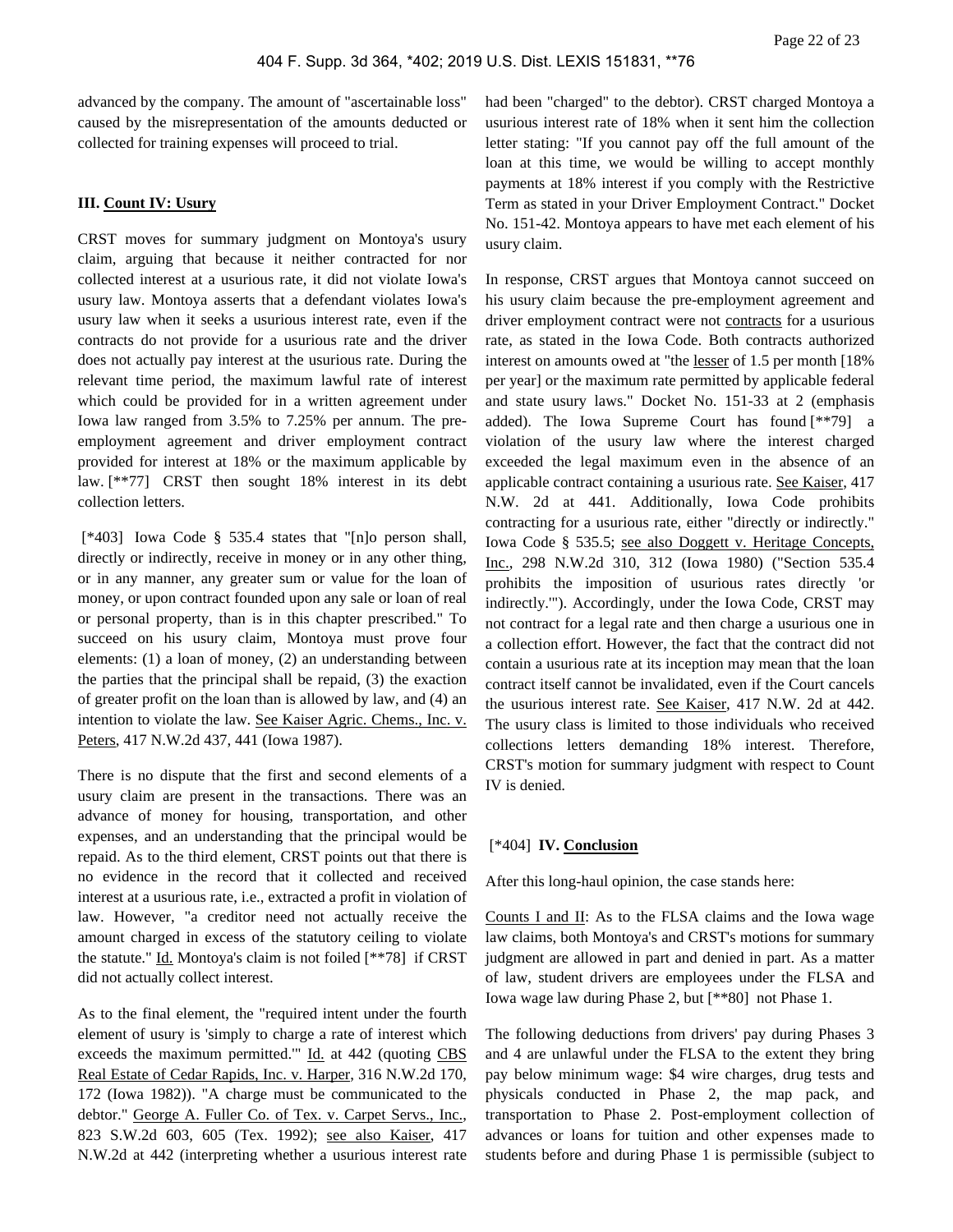advanced by the company. The amount of "ascertainable loss" caused by the misrepresentation of the amounts deducted or collected for training expenses will proceed to trial.

#### **III. Count IV: Usury**

CRST moves for summary judgment on Montoya's usury claim, arguing that because it neither contracted for nor collected interest at a usurious rate, it did not violate Iowa's usury law. Montoya asserts that a defendant violates Iowa's usury law when it seeks a usurious interest rate, even if the contracts do not provide for a usurious rate and the driver does not actually pay interest at the usurious rate. During the relevant time period, the maximum lawful rate of interest which could be provided for in a written agreement under Iowa law ranged from 3.5% to 7.25% per annum. The preemployment agreement and driver employment contract provided for interest at 18% or the maximum applicable by law. [\*\*77] CRST then sought 18% interest in its debt collection letters.

 [\*403] Iowa Code § 535.4 states that "[n]o person shall, directly or indirectly, receive in money or in any other thing, or in any manner, any greater sum or value for the loan of money, or upon contract founded upon any sale or loan of real or personal property, than is in this chapter prescribed." To succeed on his usury claim, Montoya must prove four elements: (1) a loan of money, (2) an understanding between the parties that the principal shall be repaid, (3) the exaction of greater profit on the loan than is allowed by law, and (4) an intention to violate the law. See Kaiser Agric. Chems., Inc. v. Peters, 417 N.W.2d 437, 441 (Iowa 1987).

There is no dispute that the first and second elements of a usury claim are present in the transactions. There was an advance of money for housing, transportation, and other expenses, and an understanding that the principal would be repaid. As to the third element, CRST points out that there is no evidence in the record that it collected and received interest at a usurious rate, i.e., extracted a profit in violation of law. However, "a creditor need not actually receive the amount charged in excess of the statutory ceiling to violate the statute." Id. Montoya's claim is not foiled [\*\*78] if CRST did not actually collect interest.

As to the final element, the "required intent under the fourth element of usury is 'simply to charge a rate of interest which exceeds the maximum permitted.'" Id. at 442 (quoting CBS Real Estate of Cedar Rapids, Inc. v. Harper, 316 N.W.2d 170, 172 (Iowa 1982)). "A charge must be communicated to the debtor." George A. Fuller Co. of Tex. v. Carpet Servs., Inc., 823 S.W.2d 603, 605 (Tex. 1992); see also Kaiser, 417 N.W.2d at 442 (interpreting whether a usurious interest rate

had been "charged" to the debtor). CRST charged Montoya a usurious interest rate of 18% when it sent him the collection letter stating: "If you cannot pay off the full amount of the loan at this time, we would be willing to accept monthly payments at 18% interest if you comply with the Restrictive Term as stated in your Driver Employment Contract." Docket No. 151-42. Montoya appears to have met each element of his usury claim.

In response, CRST argues that Montoya cannot succeed on his usury claim because the pre-employment agreement and driver employment contract were not contracts for a usurious rate, as stated in the Iowa Code. Both contracts authorized interest on amounts owed at "the lesser of 1.5 per month [18% per year] or the maximum rate permitted by applicable federal and state usury laws." Docket No. 151-33 at 2 (emphasis added). The Iowa Supreme Court has found [\*\*79] a violation of the usury law where the interest charged exceeded the legal maximum even in the absence of an applicable contract containing a usurious rate. See Kaiser, 417 N.W. 2d at 441. Additionally, Iowa Code prohibits contracting for a usurious rate, either "directly or indirectly." Iowa Code § 535.5; see also Doggett v. Heritage Concepts, Inc., 298 N.W.2d 310, 312 (Iowa 1980) ("Section 535.4 prohibits the imposition of usurious rates directly 'or indirectly.'"). Accordingly, under the Iowa Code, CRST may not contract for a legal rate and then charge a usurious one in a collection effort. However, the fact that the contract did not contain a usurious rate at its inception may mean that the loan contract itself cannot be invalidated, even if the Court cancels the usurious interest rate. See Kaiser, 417 N.W. 2d at 442. The usury class is limited to those individuals who received collections letters demanding 18% interest. Therefore, CRST's motion for summary judgment with respect to Count IV is denied.

### [\*404] **IV. Conclusion**

After this long-haul opinion, the case stands here:

Counts I and II: As to the FLSA claims and the Iowa wage law claims, both Montoya's and CRST's motions for summary judgment are allowed in part and denied in part. As a matter of law, student drivers are employees under the FLSA and Iowa wage law during Phase 2, but [\*\*80] not Phase 1.

The following deductions from drivers' pay during Phases 3 and 4 are unlawful under the FLSA to the extent they bring pay below minimum wage: \$4 wire charges, drug tests and physicals conducted in Phase 2, the map pack, and transportation to Phase 2. Post-employment collection of advances or loans for tuition and other expenses made to students before and during Phase 1 is permissible (subject to